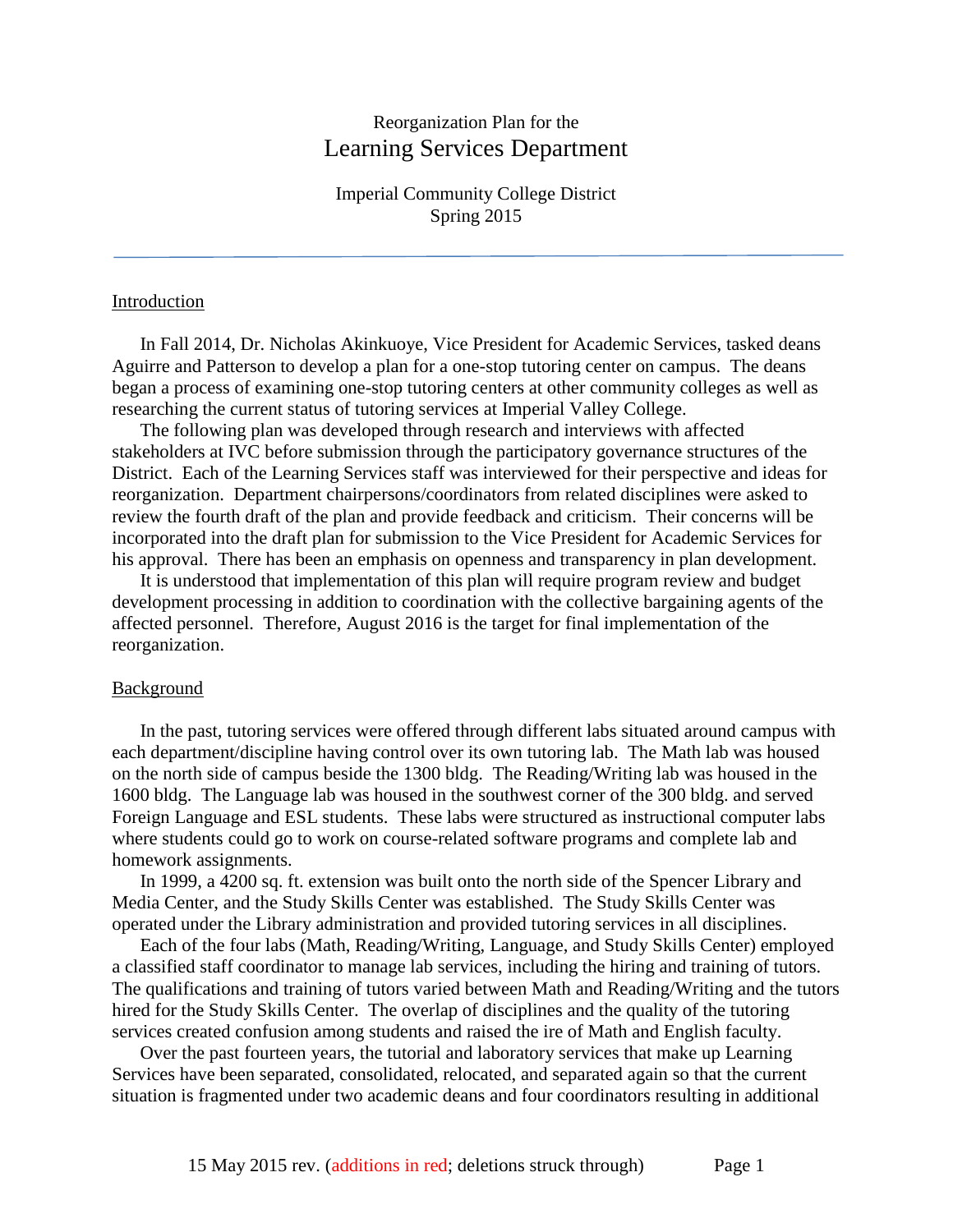# Reorganization Plan for the Learning Services Department

Imperial Community College District Spring 2015

#### Introduction

In Fall 2014, Dr. Nicholas Akinkuoye, Vice President for Academic Services, tasked deans Aguirre and Patterson to develop a plan for a one-stop tutoring center on campus. The deans began a process of examining one-stop tutoring centers at other community colleges as well as researching the current status of tutoring services at Imperial Valley College.

The following plan was developed through research and interviews with affected stakeholders at IVC before submission through the participatory governance structures of the District. Each of the Learning Services staff was interviewed for their perspective and ideas for reorganization. Department chairpersons/coordinators from related disciplines were asked to review the fourth draft of the plan and provide feedback and criticism. Their concerns will be incorporated into the draft plan for submission to the Vice President for Academic Services for his approval. There has been an emphasis on openness and transparency in plan development.

It is understood that implementation of this plan will require program review and budget development processing in addition to coordination with the collective bargaining agents of the affected personnel. Therefore, August 2016 is the target for final implementation of the reorganization.

#### **Background**

In the past, tutoring services were offered through different labs situated around campus with each department/discipline having control over its own tutoring lab. The Math lab was housed on the north side of campus beside the 1300 bldg. The Reading/Writing lab was housed in the 1600 bldg. The Language lab was housed in the southwest corner of the 300 bldg. and served Foreign Language and ESL students. These labs were structured as instructional computer labs where students could go to work on course-related software programs and complete lab and homework assignments.

In 1999, a 4200 sq. ft. extension was built onto the north side of the Spencer Library and Media Center, and the Study Skills Center was established. The Study Skills Center was operated under the Library administration and provided tutoring services in all disciplines.

Each of the four labs (Math, Reading/Writing, Language, and Study Skills Center) employed a classified staff coordinator to manage lab services, including the hiring and training of tutors. The qualifications and training of tutors varied between Math and Reading/Writing and the tutors hired for the Study Skills Center. The overlap of disciplines and the quality of the tutoring services created confusion among students and raised the ire of Math and English faculty.

Over the past fourteen years, the tutorial and laboratory services that make up Learning Services have been separated, consolidated, relocated, and separated again so that the current situation is fragmented under two academic deans and four coordinators resulting in additional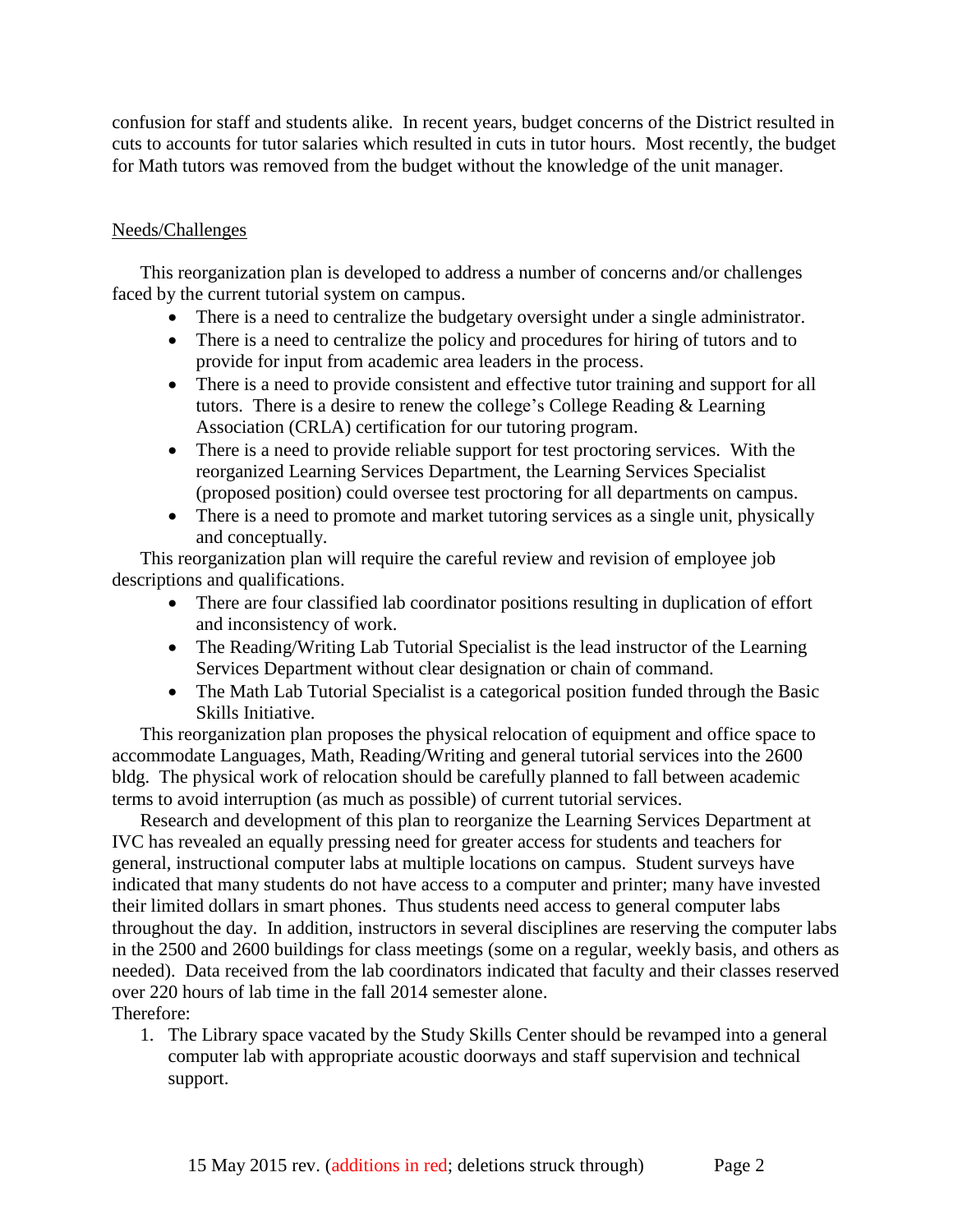confusion for staff and students alike. In recent years, budget concerns of the District resulted in cuts to accounts for tutor salaries which resulted in cuts in tutor hours. Most recently, the budget for Math tutors was removed from the budget without the knowledge of the unit manager.

## Needs/Challenges

This reorganization plan is developed to address a number of concerns and/or challenges faced by the current tutorial system on campus.

- There is a need to centralize the budgetary oversight under a single administrator.
- There is a need to centralize the policy and procedures for hiring of tutors and to provide for input from academic area leaders in the process.
- There is a need to provide consistent and effective tutor training and support for all tutors. There is a desire to renew the college's College Reading & Learning Association (CRLA) certification for our tutoring program.
- There is a need to provide reliable support for test proctoring services. With the reorganized Learning Services Department, the Learning Services Specialist (proposed position) could oversee test proctoring for all departments on campus.
- There is a need to promote and market tutoring services as a single unit, physically and conceptually.

This reorganization plan will require the careful review and revision of employee job descriptions and qualifications.

- There are four classified lab coordinator positions resulting in duplication of effort and inconsistency of work.
- The Reading/Writing Lab Tutorial Specialist is the lead instructor of the Learning Services Department without clear designation or chain of command.
- The Math Lab Tutorial Specialist is a categorical position funded through the Basic Skills Initiative.

This reorganization plan proposes the physical relocation of equipment and office space to accommodate Languages, Math, Reading/Writing and general tutorial services into the 2600 bldg. The physical work of relocation should be carefully planned to fall between academic terms to avoid interruption (as much as possible) of current tutorial services.

Research and development of this plan to reorganize the Learning Services Department at IVC has revealed an equally pressing need for greater access for students and teachers for general, instructional computer labs at multiple locations on campus. Student surveys have indicated that many students do not have access to a computer and printer; many have invested their limited dollars in smart phones. Thus students need access to general computer labs throughout the day. In addition, instructors in several disciplines are reserving the computer labs in the 2500 and 2600 buildings for class meetings (some on a regular, weekly basis, and others as needed). Data received from the lab coordinators indicated that faculty and their classes reserved over 220 hours of lab time in the fall 2014 semester alone. Therefore:

1. The Library space vacated by the Study Skills Center should be revamped into a general computer lab with appropriate acoustic doorways and staff supervision and technical support.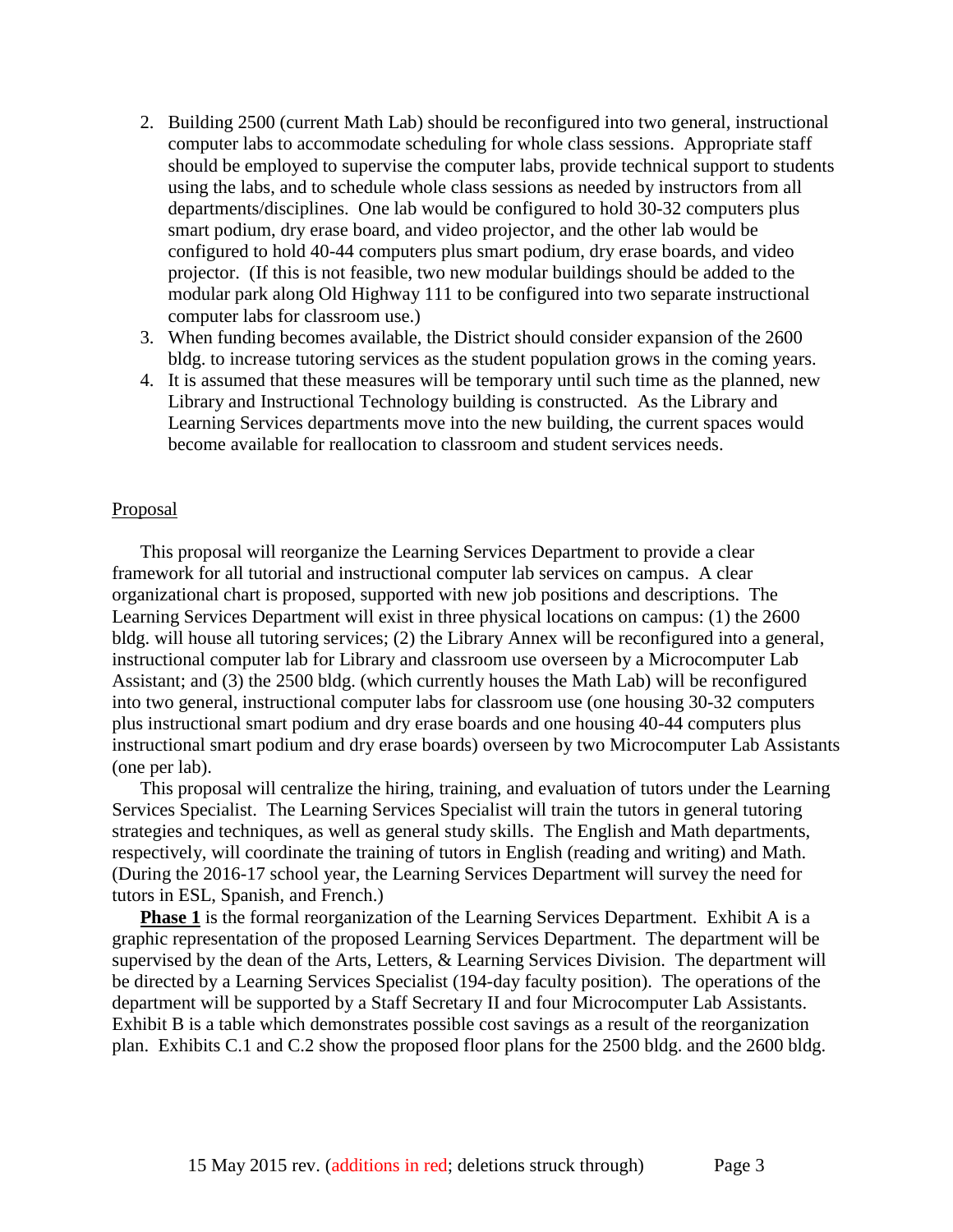- 2. Building 2500 (current Math Lab) should be reconfigured into two general, instructional computer labs to accommodate scheduling for whole class sessions. Appropriate staff should be employed to supervise the computer labs, provide technical support to students using the labs, and to schedule whole class sessions as needed by instructors from all departments/disciplines. One lab would be configured to hold 30-32 computers plus smart podium, dry erase board, and video projector, and the other lab would be configured to hold 40-44 computers plus smart podium, dry erase boards, and video projector. (If this is not feasible, two new modular buildings should be added to the modular park along Old Highway 111 to be configured into two separate instructional computer labs for classroom use.)
- 3. When funding becomes available, the District should consider expansion of the 2600 bldg. to increase tutoring services as the student population grows in the coming years.
- 4. It is assumed that these measures will be temporary until such time as the planned, new Library and Instructional Technology building is constructed. As the Library and Learning Services departments move into the new building, the current spaces would become available for reallocation to classroom and student services needs.

#### **Proposal**

This proposal will reorganize the Learning Services Department to provide a clear framework for all tutorial and instructional computer lab services on campus. A clear organizational chart is proposed, supported with new job positions and descriptions. The Learning Services Department will exist in three physical locations on campus: (1) the 2600 bldg. will house all tutoring services; (2) the Library Annex will be reconfigured into a general, instructional computer lab for Library and classroom use overseen by a Microcomputer Lab Assistant; and (3) the 2500 bldg. (which currently houses the Math Lab) will be reconfigured into two general, instructional computer labs for classroom use (one housing 30-32 computers plus instructional smart podium and dry erase boards and one housing 40-44 computers plus instructional smart podium and dry erase boards) overseen by two Microcomputer Lab Assistants (one per lab).

This proposal will centralize the hiring, training, and evaluation of tutors under the Learning Services Specialist. The Learning Services Specialist will train the tutors in general tutoring strategies and techniques, as well as general study skills. The English and Math departments, respectively, will coordinate the training of tutors in English (reading and writing) and Math. (During the 2016-17 school year, the Learning Services Department will survey the need for tutors in ESL, Spanish, and French.)

**Phase 1** is the formal reorganization of the Learning Services Department. Exhibit A is a graphic representation of the proposed Learning Services Department. The department will be supervised by the dean of the Arts, Letters, & Learning Services Division. The department will be directed by a Learning Services Specialist (194-day faculty position). The operations of the department will be supported by a Staff Secretary II and four Microcomputer Lab Assistants. Exhibit B is a table which demonstrates possible cost savings as a result of the reorganization plan. Exhibits C.1 and C.2 show the proposed floor plans for the 2500 bldg. and the 2600 bldg.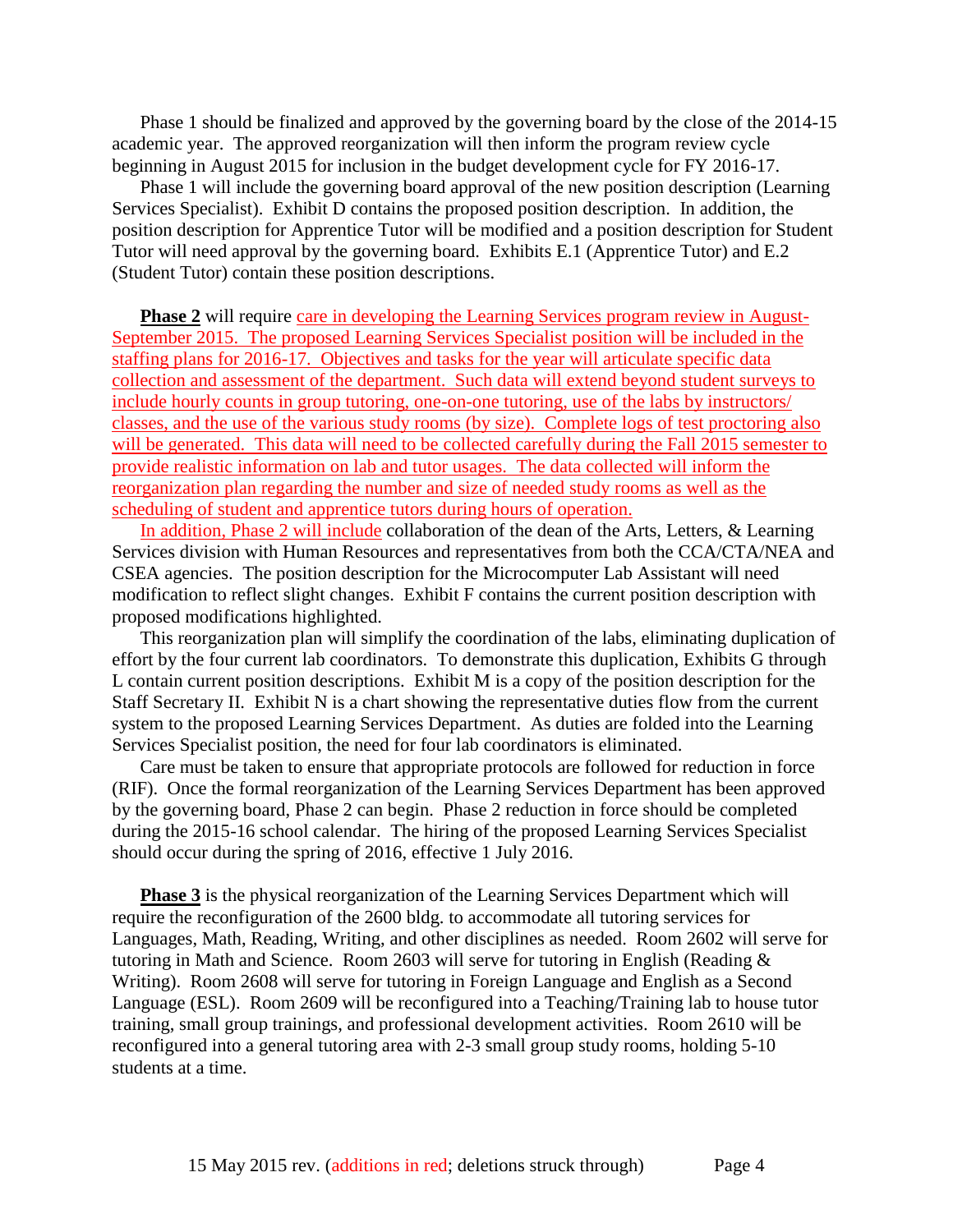Phase 1 should be finalized and approved by the governing board by the close of the 2014-15 academic year. The approved reorganization will then inform the program review cycle beginning in August 2015 for inclusion in the budget development cycle for FY 2016-17.

Phase 1 will include the governing board approval of the new position description (Learning Services Specialist). Exhibit D contains the proposed position description. In addition, the position description for Apprentice Tutor will be modified and a position description for Student Tutor will need approval by the governing board. Exhibits E.1 (Apprentice Tutor) and E.2 (Student Tutor) contain these position descriptions.

**Phase 2** will require care in developing the Learning Services program review in August-September 2015. The proposed Learning Services Specialist position will be included in the staffing plans for 2016-17. Objectives and tasks for the year will articulate specific data collection and assessment of the department. Such data will extend beyond student surveys to include hourly counts in group tutoring, one-on-one tutoring, use of the labs by instructors/ classes, and the use of the various study rooms (by size). Complete logs of test proctoring also will be generated. This data will need to be collected carefully during the Fall 2015 semester to provide realistic information on lab and tutor usages. The data collected will inform the reorganization plan regarding the number and size of needed study rooms as well as the scheduling of student and apprentice tutors during hours of operation.

In addition, Phase 2 will include collaboration of the dean of the Arts, Letters, & Learning Services division with Human Resources and representatives from both the CCA/CTA/NEA and CSEA agencies. The position description for the Microcomputer Lab Assistant will need modification to reflect slight changes. Exhibit F contains the current position description with proposed modifications highlighted.

This reorganization plan will simplify the coordination of the labs, eliminating duplication of effort by the four current lab coordinators. To demonstrate this duplication, Exhibits G through L contain current position descriptions. Exhibit M is a copy of the position description for the Staff Secretary II. Exhibit N is a chart showing the representative duties flow from the current system to the proposed Learning Services Department. As duties are folded into the Learning Services Specialist position, the need for four lab coordinators is eliminated.

Care must be taken to ensure that appropriate protocols are followed for reduction in force (RIF). Once the formal reorganization of the Learning Services Department has been approved by the governing board, Phase 2 can begin. Phase 2 reduction in force should be completed during the 2015-16 school calendar. The hiring of the proposed Learning Services Specialist should occur during the spring of 2016, effective 1 July 2016.

**Phase 3** is the physical reorganization of the Learning Services Department which will require the reconfiguration of the 2600 bldg. to accommodate all tutoring services for Languages, Math, Reading, Writing, and other disciplines as needed. Room 2602 will serve for tutoring in Math and Science. Room 2603 will serve for tutoring in English (Reading & Writing). Room 2608 will serve for tutoring in Foreign Language and English as a Second Language (ESL). Room 2609 will be reconfigured into a Teaching/Training lab to house tutor training, small group trainings, and professional development activities. Room 2610 will be reconfigured into a general tutoring area with 2-3 small group study rooms, holding 5-10 students at a time.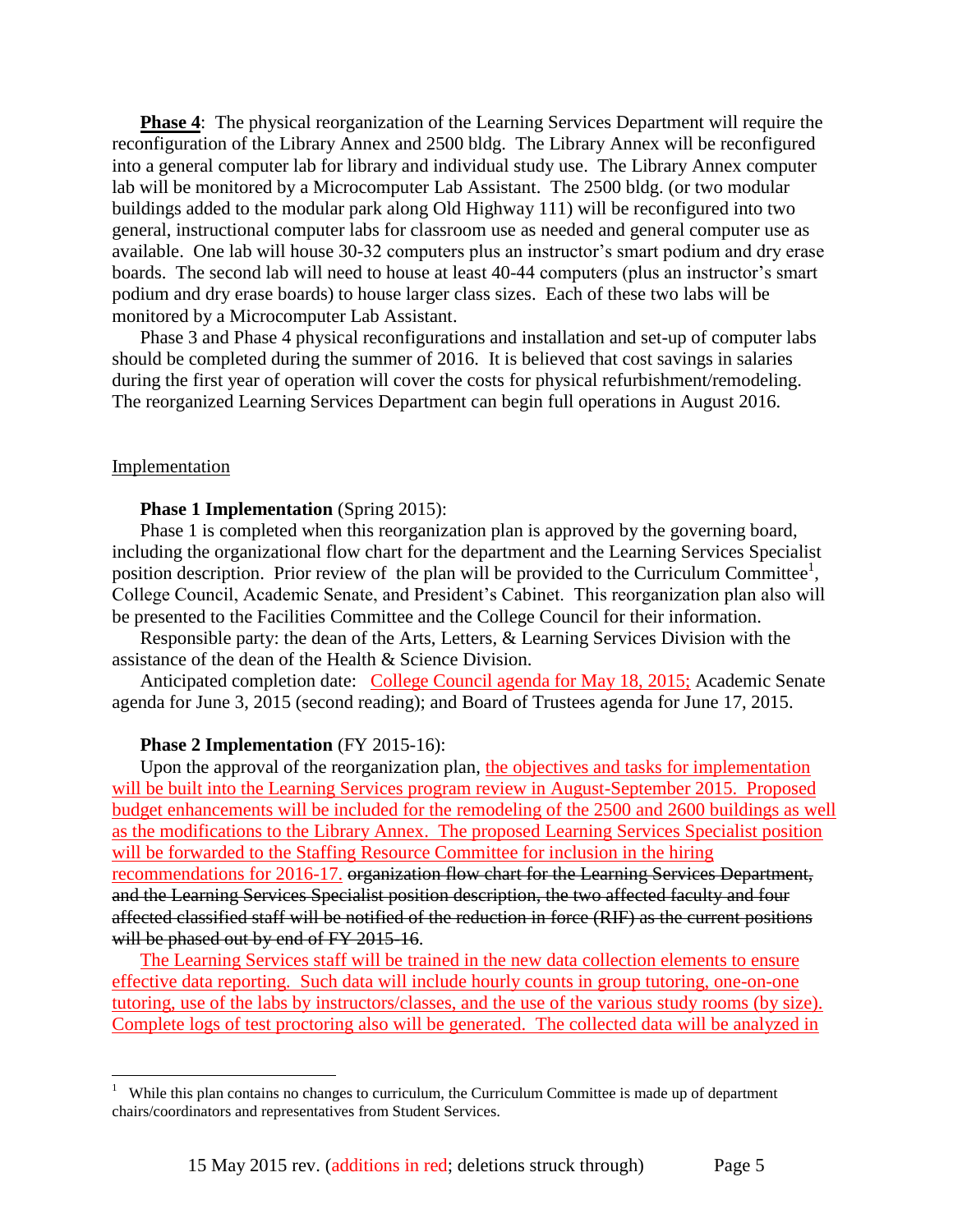**Phase 4**: The physical reorganization of the Learning Services Department will require the reconfiguration of the Library Annex and 2500 bldg. The Library Annex will be reconfigured into a general computer lab for library and individual study use. The Library Annex computer lab will be monitored by a Microcomputer Lab Assistant. The 2500 bldg. (or two modular buildings added to the modular park along Old Highway 111) will be reconfigured into two general, instructional computer labs for classroom use as needed and general computer use as available. One lab will house 30-32 computers plus an instructor's smart podium and dry erase boards. The second lab will need to house at least 40-44 computers (plus an instructor's smart podium and dry erase boards) to house larger class sizes. Each of these two labs will be monitored by a Microcomputer Lab Assistant.

Phase 3 and Phase 4 physical reconfigurations and installation and set-up of computer labs should be completed during the summer of 2016. It is believed that cost savings in salaries during the first year of operation will cover the costs for physical refurbishment/remodeling. The reorganized Learning Services Department can begin full operations in August 2016.

#### Implementation

#### **Phase 1 Implementation** (Spring 2015):

Phase 1 is completed when this reorganization plan is approved by the governing board, including the organizational flow chart for the department and the Learning Services Specialist position description. Prior review of the plan will be provided to the Curriculum Committee<sup>1</sup>, College Council, Academic Senate, and President's Cabinet. This reorganization plan also will be presented to the Facilities Committee and the College Council for their information.

Responsible party: the dean of the Arts, Letters, & Learning Services Division with the assistance of the dean of the Health & Science Division.

Anticipated completion date: College Council agenda for May 18, 2015; Academic Senate agenda for June 3, 2015 (second reading); and Board of Trustees agenda for June 17, 2015.

#### **Phase 2 Implementation** (FY 2015-16):

Upon the approval of the reorganization plan, the objectives and tasks for implementation will be built into the Learning Services program review in August-September 2015. Proposed budget enhancements will be included for the remodeling of the 2500 and 2600 buildings as well as the modifications to the Library Annex. The proposed Learning Services Specialist position will be forwarded to the Staffing Resource Committee for inclusion in the hiring recommendations for 2016-17. organization flow chart for the Learning Services Department, and the Learning Services Specialist position description, the two affected faculty and four affected classified staff will be notified of the reduction in force (RIF) as the current positions will be phased out by end of FY 2015-16.

The Learning Services staff will be trained in the new data collection elements to ensure effective data reporting. Such data will include hourly counts in group tutoring, one-on-one tutoring, use of the labs by instructors/classes, and the use of the various study rooms (by size). Complete logs of test proctoring also will be generated. The collected data will be analyzed in

 1 While this plan contains no changes to curriculum, the Curriculum Committee is made up of department chairs/coordinators and representatives from Student Services.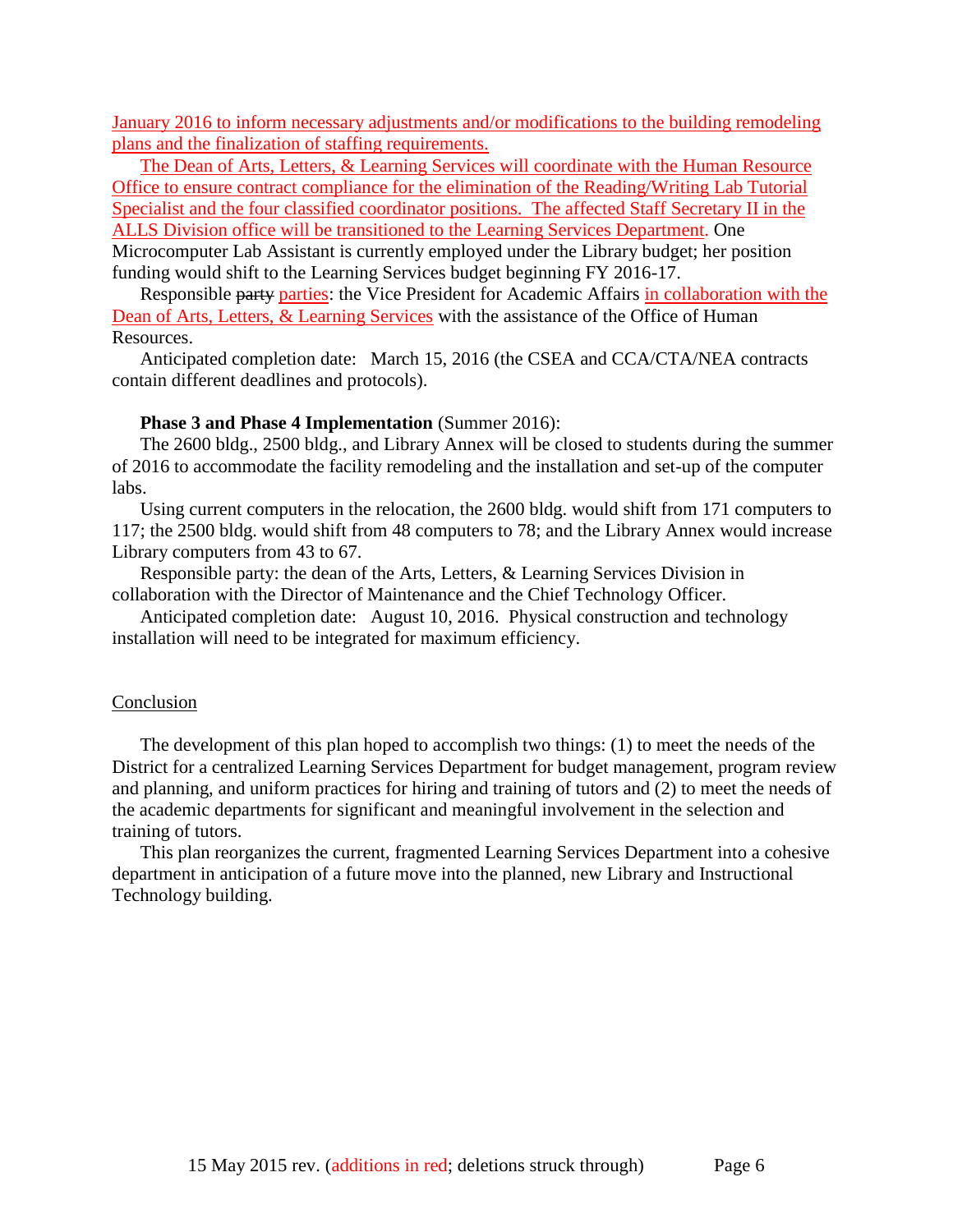January 2016 to inform necessary adjustments and/or modifications to the building remodeling plans and the finalization of staffing requirements.

The Dean of Arts, Letters, & Learning Services will coordinate with the Human Resource Office to ensure contract compliance for the elimination of the Reading/Writing Lab Tutorial Specialist and the four classified coordinator positions. The affected Staff Secretary II in the ALLS Division office will be transitioned to the Learning Services Department. One Microcomputer Lab Assistant is currently employed under the Library budget; her position funding would shift to the Learning Services budget beginning FY 2016-17.

Responsible party parties: the Vice President for Academic Affairs in collaboration with the Dean of Arts, Letters, & Learning Services with the assistance of the Office of Human Resources.

Anticipated completion date: March 15, 2016 (the CSEA and CCA/CTA/NEA contracts contain different deadlines and protocols).

#### **Phase 3 and Phase 4 Implementation** (Summer 2016):

The 2600 bldg., 2500 bldg., and Library Annex will be closed to students during the summer of 2016 to accommodate the facility remodeling and the installation and set-up of the computer labs.

Using current computers in the relocation, the 2600 bldg. would shift from 171 computers to 117; the 2500 bldg. would shift from 48 computers to 78; and the Library Annex would increase Library computers from 43 to 67.

Responsible party: the dean of the Arts, Letters, & Learning Services Division in collaboration with the Director of Maintenance and the Chief Technology Officer.

Anticipated completion date: August 10, 2016. Physical construction and technology installation will need to be integrated for maximum efficiency.

#### Conclusion

The development of this plan hoped to accomplish two things: (1) to meet the needs of the District for a centralized Learning Services Department for budget management, program review and planning, and uniform practices for hiring and training of tutors and (2) to meet the needs of the academic departments for significant and meaningful involvement in the selection and training of tutors.

This plan reorganizes the current, fragmented Learning Services Department into a cohesive department in anticipation of a future move into the planned, new Library and Instructional Technology building.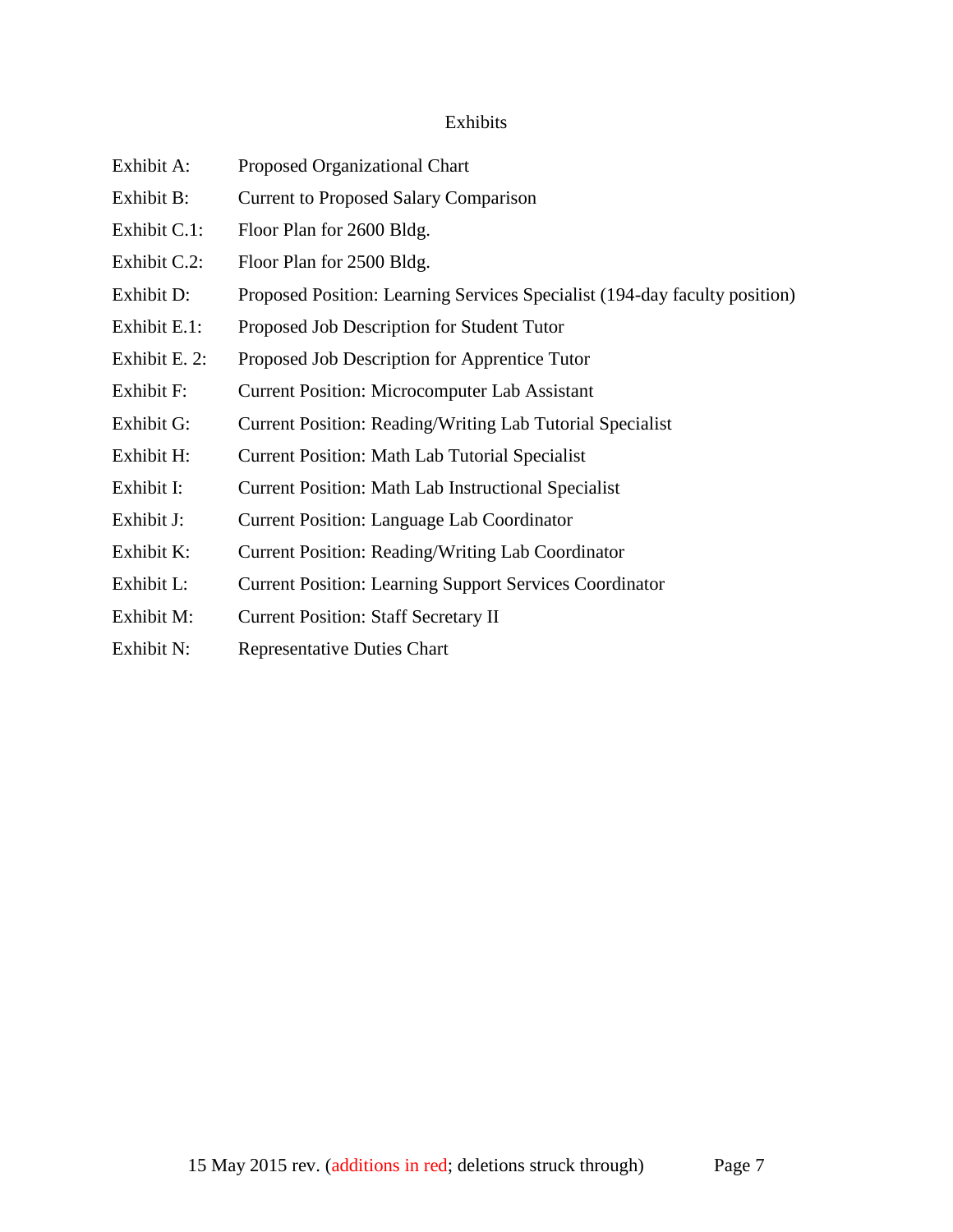### Exhibits

- Exhibit A: Proposed Organizational Chart
- Exhibit B: Current to Proposed Salary Comparison
- Exhibit C.1: Floor Plan for 2600 Bldg.
- Exhibit C.2: Floor Plan for 2500 Bldg.
- Exhibit D: Proposed Position: Learning Services Specialist (194-day faculty position)
- Exhibit E.1: Proposed Job Description for Student Tutor
- Exhibit E. 2: Proposed Job Description for Apprentice Tutor
- Exhibit F: Current Position: Microcomputer Lab Assistant
- Exhibit G: Current Position: Reading/Writing Lab Tutorial Specialist
- Exhibit H: Current Position: Math Lab Tutorial Specialist
- Exhibit I: Current Position: Math Lab Instructional Specialist
- Exhibit J: Current Position: Language Lab Coordinator
- Exhibit K: Current Position: Reading/Writing Lab Coordinator
- Exhibit L: Current Position: Learning Support Services Coordinator
- Exhibit M: Current Position: Staff Secretary II
- Exhibit N: Representative Duties Chart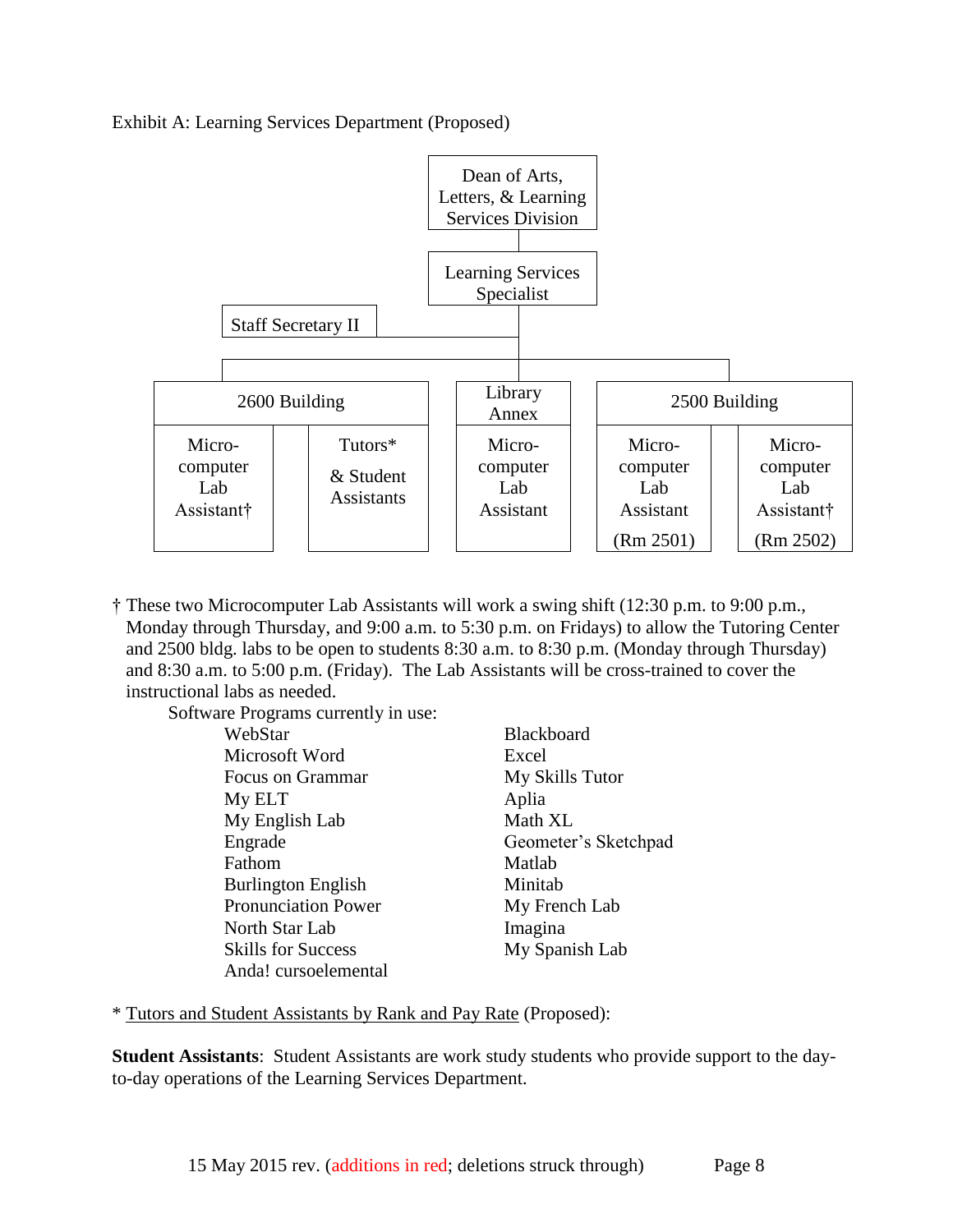



† These two Microcomputer Lab Assistants will work a swing shift (12:30 p.m. to 9:00 p.m., Monday through Thursday, and 9:00 a.m. to 5:30 p.m. on Fridays) to allow the Tutoring Center and 2500 bldg. labs to be open to students 8:30 a.m. to 8:30 p.m. (Monday through Thursday) and 8:30 a.m. to 5:00 p.m. (Friday). The Lab Assistants will be cross-trained to cover the instructional labs as needed.

Software Programs currently in use:

| WebStar                    | Blackboard           |
|----------------------------|----------------------|
| Microsoft Word             | Excel                |
| Focus on Grammar           | My Skills Tutor      |
| My ELT                     | Aplia                |
| My English Lab             | Math XL              |
| Engrade                    | Geometer's Sketchpad |
| Fathom                     | Matlab               |
| <b>Burlington English</b>  | Minitab              |
| <b>Pronunciation Power</b> | My French Lab        |
| North Star Lab             | Imagina              |
| <b>Skills for Success</b>  | My Spanish Lab       |
| Anda! cursoelemental       |                      |

\* Tutors and Student Assistants by Rank and Pay Rate (Proposed):

**Student Assistants**: Student Assistants are work study students who provide support to the dayto-day operations of the Learning Services Department.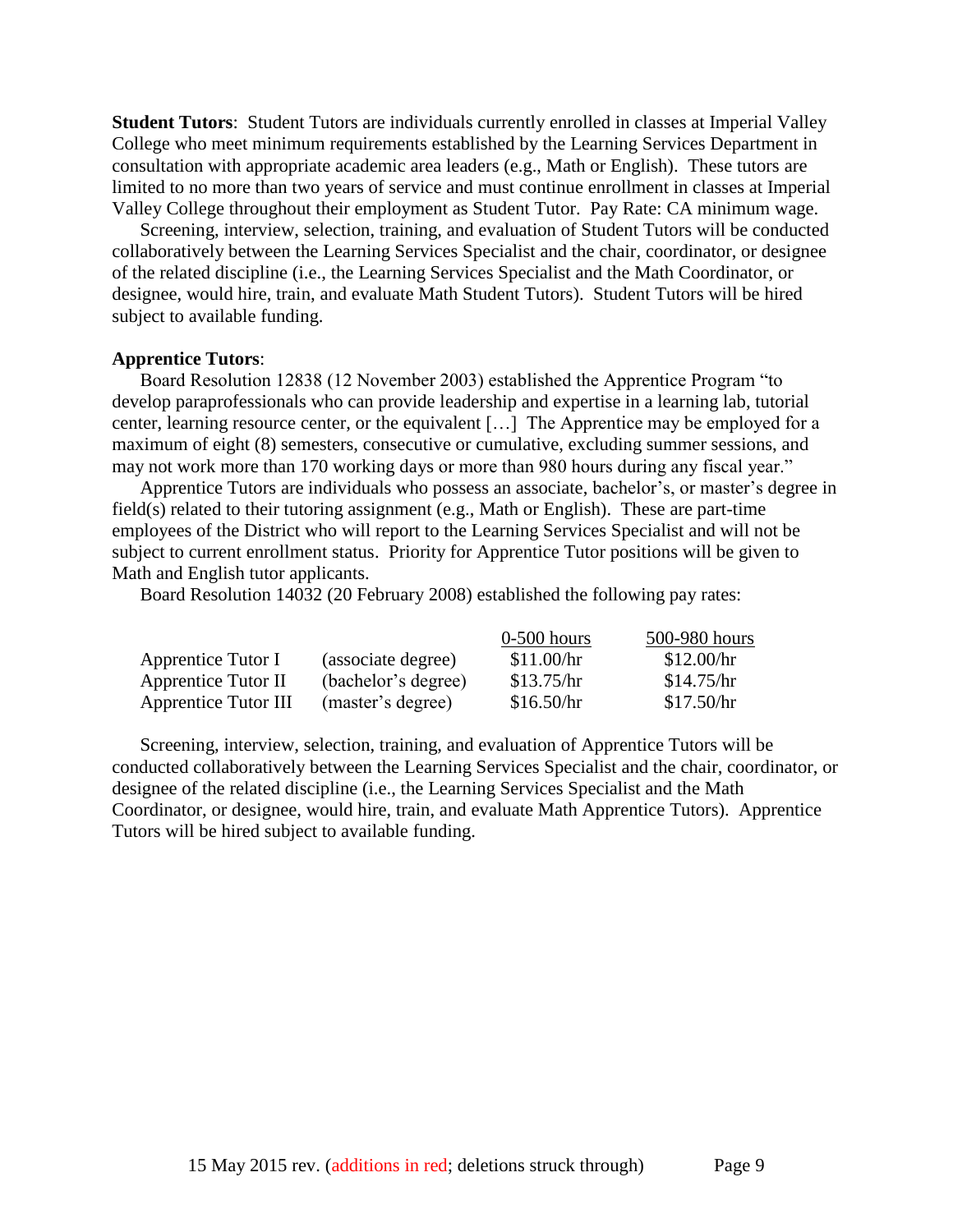**Student Tutors**: Student Tutors are individuals currently enrolled in classes at Imperial Valley College who meet minimum requirements established by the Learning Services Department in consultation with appropriate academic area leaders (e.g., Math or English). These tutors are limited to no more than two years of service and must continue enrollment in classes at Imperial Valley College throughout their employment as Student Tutor. Pay Rate: CA minimum wage.

Screening, interview, selection, training, and evaluation of Student Tutors will be conducted collaboratively between the Learning Services Specialist and the chair, coordinator, or designee of the related discipline (i.e., the Learning Services Specialist and the Math Coordinator, or designee, would hire, train, and evaluate Math Student Tutors). Student Tutors will be hired subject to available funding.

#### **Apprentice Tutors**:

Board Resolution 12838 (12 November 2003) established the Apprentice Program "to develop paraprofessionals who can provide leadership and expertise in a learning lab, tutorial center, learning resource center, or the equivalent […] The Apprentice may be employed for a maximum of eight (8) semesters, consecutive or cumulative, excluding summer sessions, and may not work more than 170 working days or more than 980 hours during any fiscal year."

Apprentice Tutors are individuals who possess an associate, bachelor's, or master's degree in field(s) related to their tutoring assignment (e.g., Math or English). These are part-time employees of the District who will report to the Learning Services Specialist and will not be subject to current enrollment status. Priority for Apprentice Tutor positions will be given to Math and English tutor applicants.

Board Resolution 14032 (20 February 2008) established the following pay rates:

|                             |                     | $0-500$ hours | 500-980 hours |
|-----------------------------|---------------------|---------------|---------------|
| Apprentice Tutor I          | (associate degree)  | \$11.00/hr    | \$12.00/hr    |
| Apprentice Tutor II         | (bachelor's degree) | \$13.75/hr    | \$14.75/hr    |
| <b>Apprentice Tutor III</b> | (master's degree)   | \$16.50/hr    | \$17.50/hr    |

Screening, interview, selection, training, and evaluation of Apprentice Tutors will be conducted collaboratively between the Learning Services Specialist and the chair, coordinator, or designee of the related discipline (i.e., the Learning Services Specialist and the Math Coordinator, or designee, would hire, train, and evaluate Math Apprentice Tutors). Apprentice Tutors will be hired subject to available funding.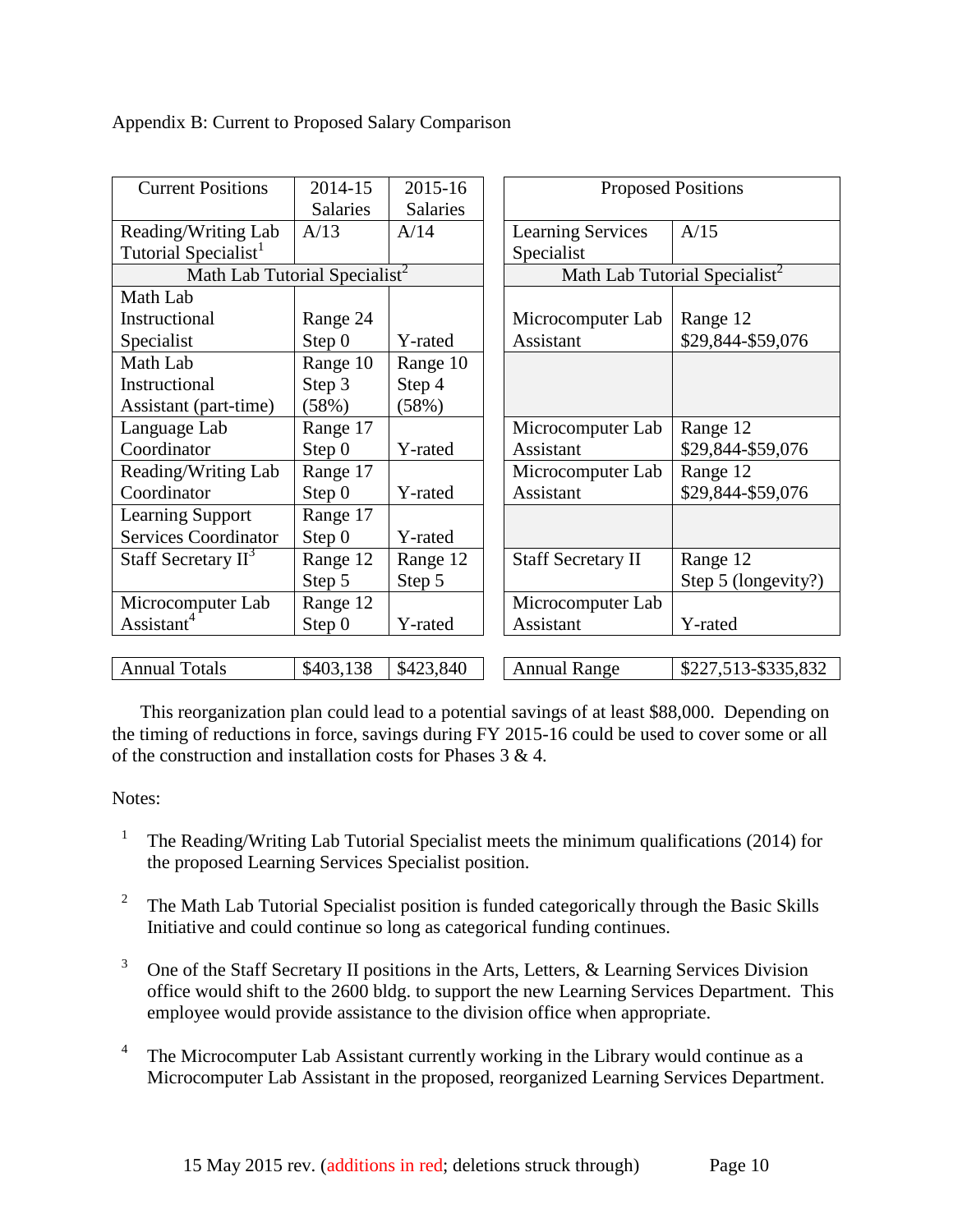Appendix B: Current to Proposed Salary Comparison

| <b>Current Positions</b>                  | 2014-15<br>Salaries | 2015-16<br>Salaries | <b>Proposed Positions</b>                  |
|-------------------------------------------|---------------------|---------------------|--------------------------------------------|
| Reading/Writing Lab                       | A/13                | A/14                | <b>Learning Services</b><br>A/15           |
| Tutorial Specialist <sup>1</sup>          |                     |                     | Specialist                                 |
| Math Lab Tutorial Specialist <sup>2</sup> |                     |                     | Math Lab Tutorial Specialist <sup>2</sup>  |
| Math Lab                                  |                     |                     |                                            |
| Instructional                             | Range 24            |                     | Microcomputer Lab<br>Range 12              |
| Specialist                                | Step 0              | Y-rated             | \$29,844-\$59,076<br>Assistant             |
| Math Lab                                  | Range 10            | Range 10            |                                            |
| Instructional                             | Step 3              | Step 4              |                                            |
| Assistant (part-time)                     | (58%)               | (58%)               |                                            |
| Language Lab                              | Range 17            |                     | Microcomputer Lab<br>Range 12              |
| Coordinator                               | Step 0              | Y-rated             | \$29,844-\$59,076<br>Assistant             |
| Reading/Writing Lab                       | Range 17            |                     | Range 12<br>Microcomputer Lab              |
| Coordinator                               | Step 0              | Y-rated             | \$29,844-\$59,076<br>Assistant             |
| <b>Learning Support</b>                   | Range 17            |                     |                                            |
| <b>Services Coordinator</b>               | Step 0              | Y-rated             |                                            |
| Staff Secretary II <sup>3</sup>           | Range 12            | Range 12            | <b>Staff Secretary II</b><br>Range 12      |
|                                           | Step 5              | Step 5              | Step 5 (longevity?)                        |
| Microcomputer Lab                         | Range 12            |                     | Microcomputer Lab                          |
| Assistant <sup>4</sup>                    | Step 0              | Y-rated             | Assistant<br>Y-rated                       |
|                                           |                     |                     |                                            |
| <b>Annual Totals</b>                      | \$403,138           | \$423,840           | <b>Annual Range</b><br>\$227,513-\$335,832 |

This reorganization plan could lead to a potential savings of at least \$88,000. Depending on the timing of reductions in force, savings during FY 2015-16 could be used to cover some or all of the construction and installation costs for Phases 3 & 4.

## Notes:

- 1 The Reading/Writing Lab Tutorial Specialist meets the minimum qualifications (2014) for the proposed Learning Services Specialist position.
- 2 The Math Lab Tutorial Specialist position is funded categorically through the Basic Skills Initiative and could continue so long as categorical funding continues.
- 3 One of the Staff Secretary II positions in the Arts, Letters, & Learning Services Division office would shift to the 2600 bldg. to support the new Learning Services Department. This employee would provide assistance to the division office when appropriate.
- 4 The Microcomputer Lab Assistant currently working in the Library would continue as a Microcomputer Lab Assistant in the proposed, reorganized Learning Services Department.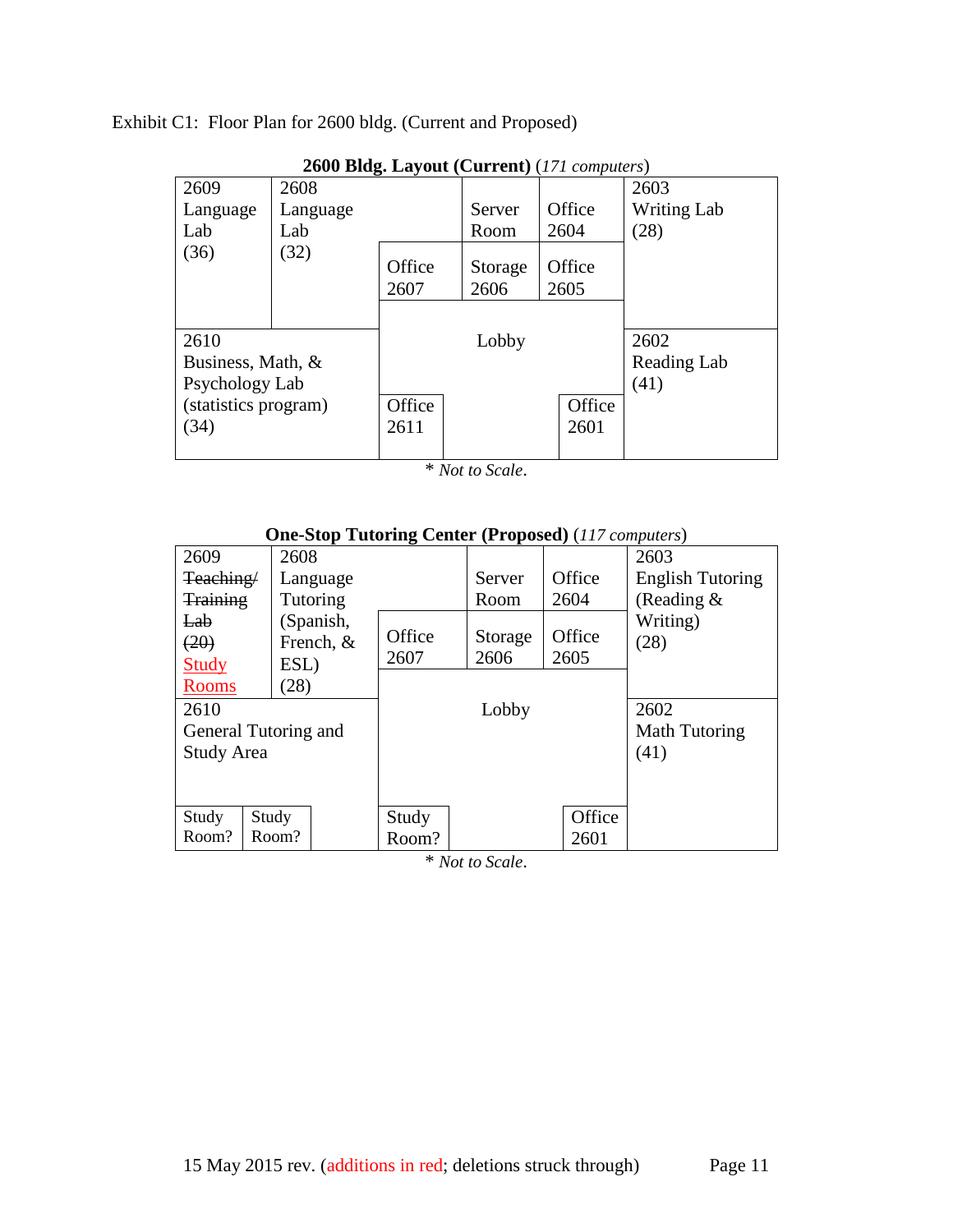Exhibit C1: Floor Plan for 2600 bldg. (Current and Proposed)

|                      | 2000 DRg. Layout (Current) (171 computers) |                |                 |                |                    |
|----------------------|--------------------------------------------|----------------|-----------------|----------------|--------------------|
| 2609                 | 2608                                       |                |                 |                | 2603               |
| Language             | Language                                   |                | Server          | Office         | <b>Writing Lab</b> |
| Lab                  | Lab                                        |                | Room            | 2604           | (28)               |
| (36)                 | (32)                                       | Office<br>2607 | Storage<br>2606 | Office<br>2605 |                    |
| 2610                 |                                            |                | Lobby           |                | 2602               |
| Business, Math, &    |                                            |                |                 |                | Reading Lab        |
| Psychology Lab       |                                            |                |                 |                | (41)               |
| (statistics program) |                                            | Office         |                 | Office         |                    |
| (34)                 |                                            | 2611           |                 | 2601           |                    |
|                      |                                            |                |                 |                |                    |

**2600 Bldg. Layout (Current)** (*171 computers*)

\* *Not to Scale*.

|                 | One-Stop Tutting Center (Froposed) (117 computers) |        |         |        |                         |
|-----------------|----------------------------------------------------|--------|---------|--------|-------------------------|
| 2609            | 2608                                               |        |         |        | 2603                    |
| Teaching/       | Language                                           |        | Server  | Office | <b>English Tutoring</b> |
| <b>Training</b> | Tutoring                                           |        | Room    | 2604   | (Reading $\&$           |
| Lab             | (Spanish,                                          |        |         |        | Writing)                |
| (20)            | French, &                                          | Office | Storage | Office | (28)                    |
| <b>Study</b>    | ESL)                                               | 2607   | 2606    | 2605   |                         |
| <b>Rooms</b>    | (28)                                               |        |         |        |                         |
| 2610            |                                                    |        | Lobby   |        | 2602                    |
|                 | General Tutoring and                               |        |         |        | Math Tutoring           |
| Study Area      |                                                    |        |         |        | (41)                    |
|                 |                                                    |        |         |        |                         |
|                 |                                                    |        |         |        |                         |
| Study           | Study                                              | Study  |         | Office |                         |
| Room?           | Room?                                              | Room?  |         | 2601   |                         |

## **One-Stop Tutoring Center (Proposed)** (*117 computers*)

\* *Not to Scale*.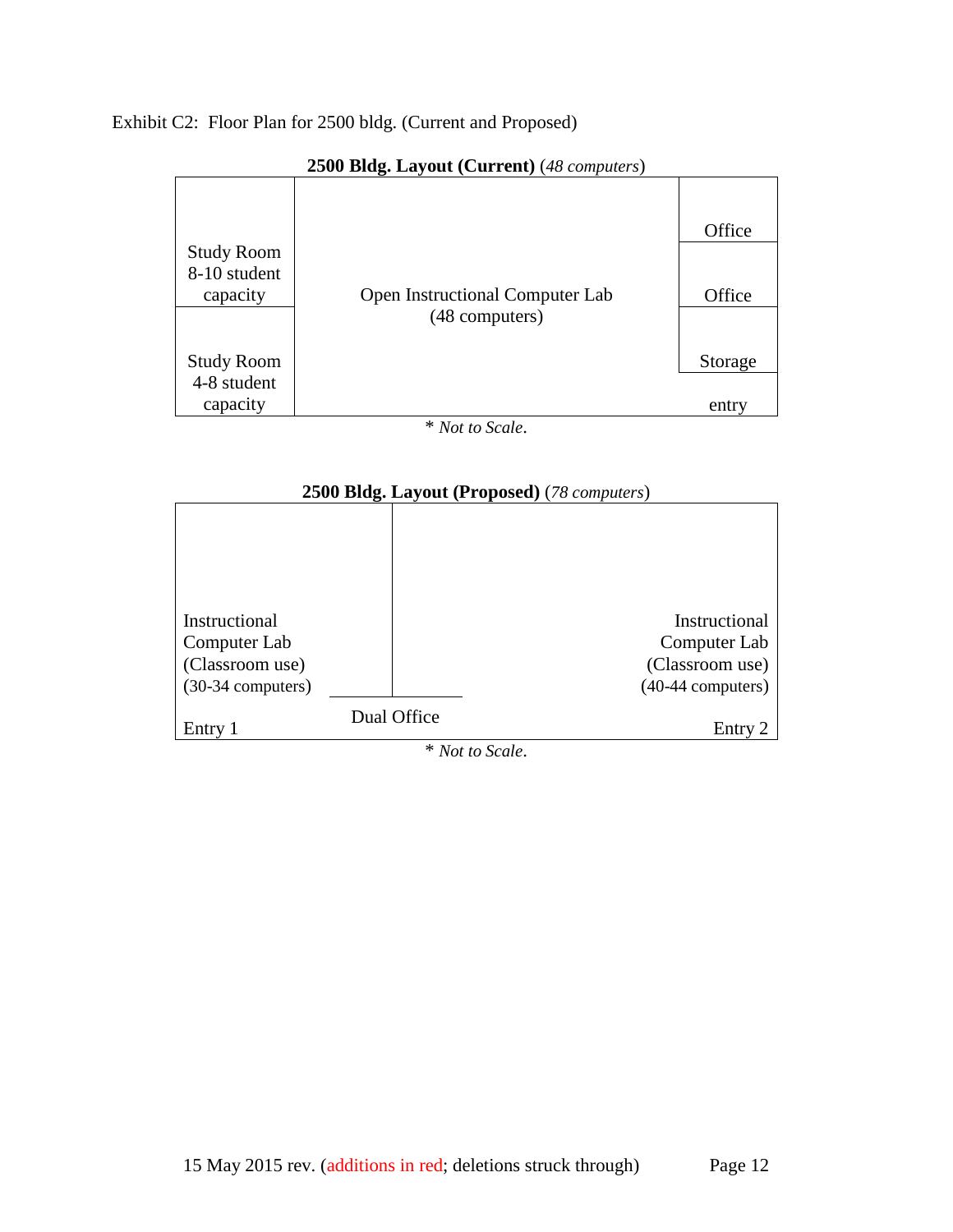## Exhibit C2: Floor Plan for 2500 bldg. (Current and Proposed)



#### **2500 Bldg. Layout (Current)** (*48 computers*)

\* *Not to Scale*.



\* *Not to Scale*.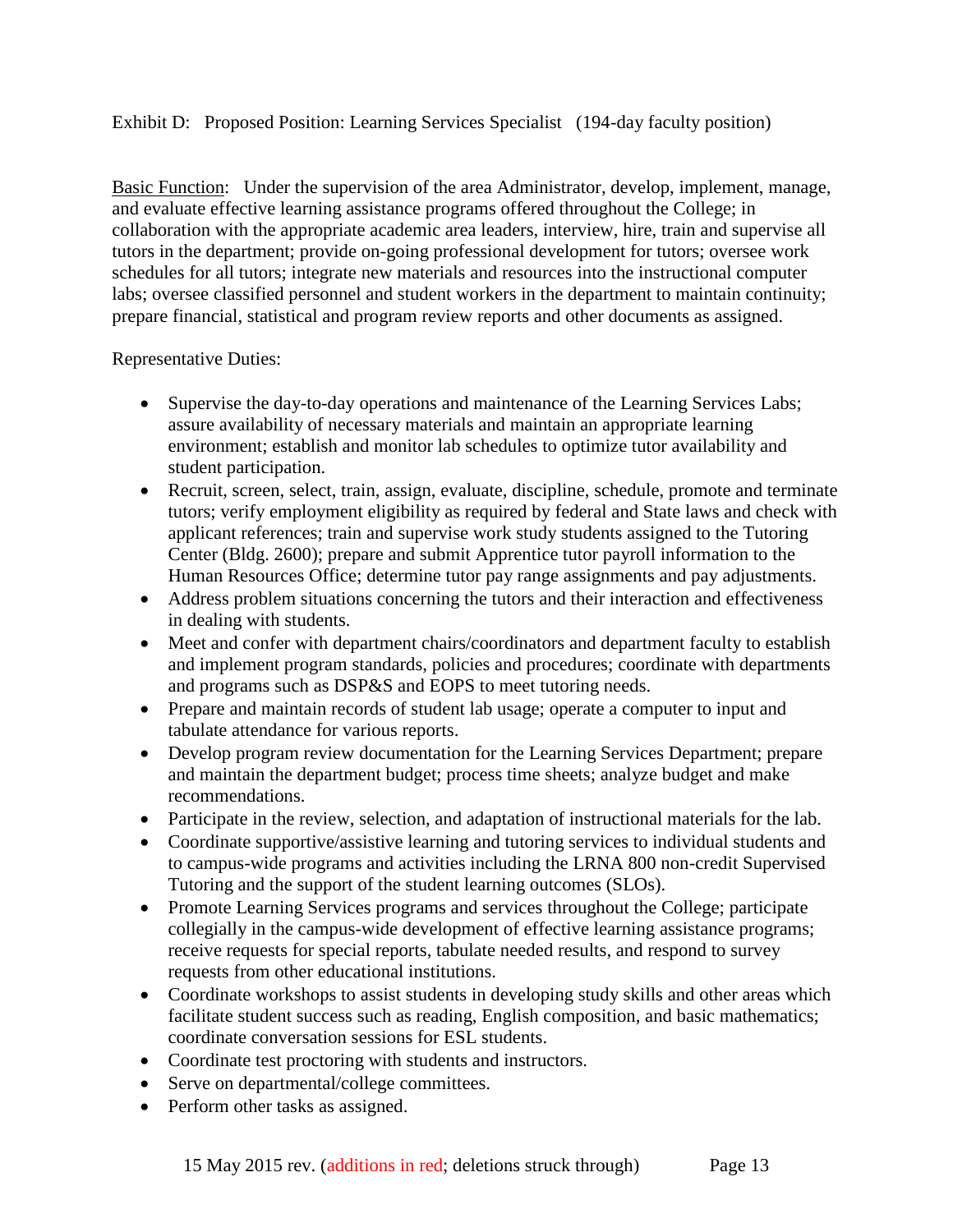## Exhibit D: Proposed Position: Learning Services Specialist (194-day faculty position)

Basic Function: Under the supervision of the area Administrator, develop, implement, manage, and evaluate effective learning assistance programs offered throughout the College; in collaboration with the appropriate academic area leaders, interview, hire, train and supervise all tutors in the department; provide on-going professional development for tutors; oversee work schedules for all tutors; integrate new materials and resources into the instructional computer labs; oversee classified personnel and student workers in the department to maintain continuity; prepare financial, statistical and program review reports and other documents as assigned.

Representative Duties:

- Supervise the day-to-day operations and maintenance of the Learning Services Labs; assure availability of necessary materials and maintain an appropriate learning environment; establish and monitor lab schedules to optimize tutor availability and student participation.
- Recruit, screen, select, train, assign, evaluate, discipline, schedule, promote and terminate tutors; verify employment eligibility as required by federal and State laws and check with applicant references; train and supervise work study students assigned to the Tutoring Center (Bldg. 2600); prepare and submit Apprentice tutor payroll information to the Human Resources Office; determine tutor pay range assignments and pay adjustments.
- Address problem situations concerning the tutors and their interaction and effectiveness in dealing with students.
- Meet and confer with department chairs/coordinators and department faculty to establish and implement program standards, policies and procedures; coordinate with departments and programs such as DSP&S and EOPS to meet tutoring needs.
- Prepare and maintain records of student lab usage; operate a computer to input and tabulate attendance for various reports.
- Develop program review documentation for the Learning Services Department; prepare and maintain the department budget; process time sheets; analyze budget and make recommendations.
- Participate in the review, selection, and adaptation of instructional materials for the lab.
- Coordinate supportive/assistive learning and tutoring services to individual students and to campus-wide programs and activities including the LRNA 800 non-credit Supervised Tutoring and the support of the student learning outcomes (SLOs).
- Promote Learning Services programs and services throughout the College; participate collegially in the campus-wide development of effective learning assistance programs; receive requests for special reports, tabulate needed results, and respond to survey requests from other educational institutions.
- Coordinate workshops to assist students in developing study skills and other areas which facilitate student success such as reading, English composition, and basic mathematics; coordinate conversation sessions for ESL students.
- Coordinate test proctoring with students and instructors.
- Serve on departmental/college committees.
- Perform other tasks as assigned.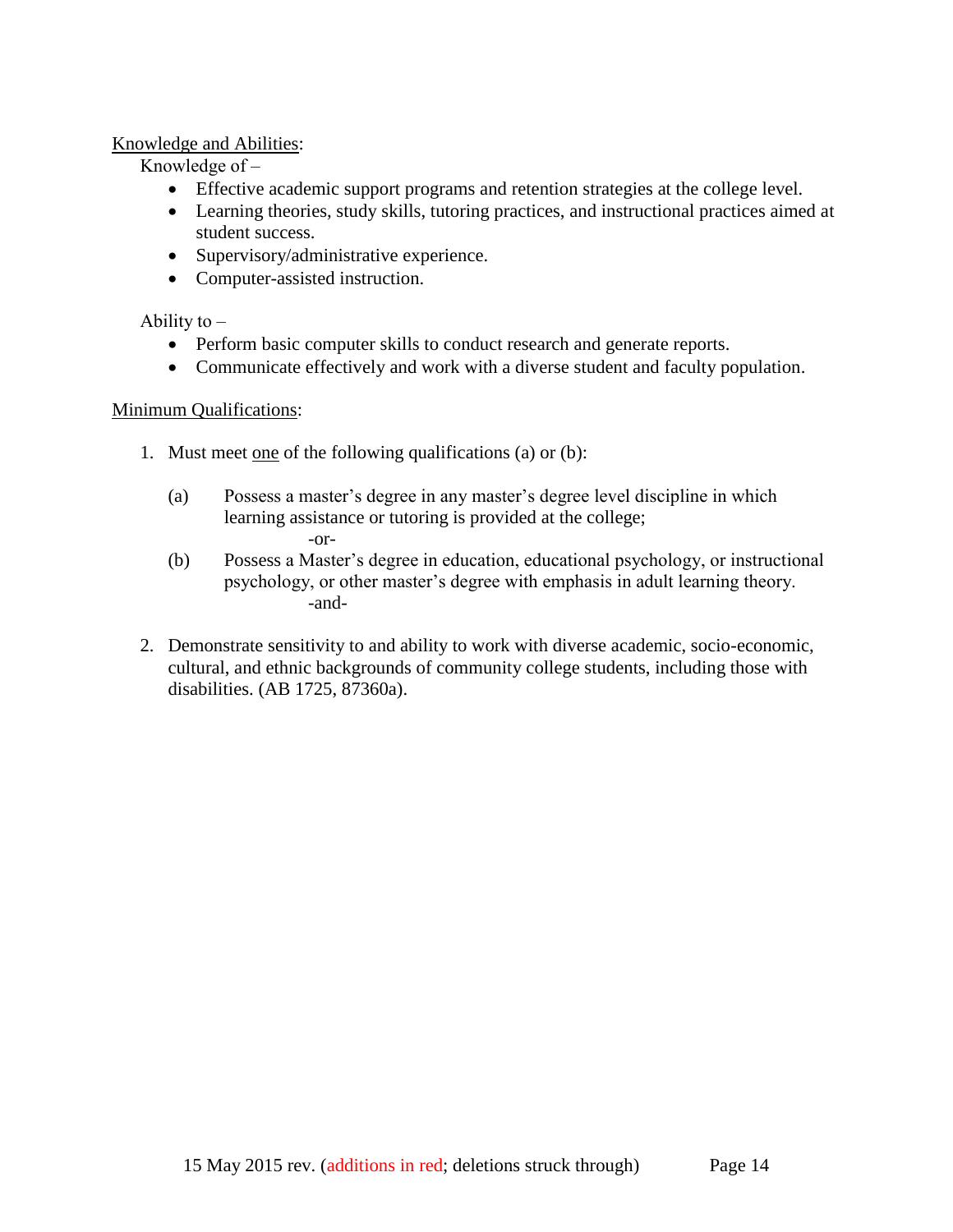## Knowledge and Abilities:

Knowledge of  $-$ 

- Effective academic support programs and retention strategies at the college level.
- Learning theories, study skills, tutoring practices, and instructional practices aimed at student success.
- Supervisory/administrative experience.
- Computer-assisted instruction.

Ability to  $-$ 

- Perform basic computer skills to conduct research and generate reports.
- Communicate effectively and work with a diverse student and faculty population.

## Minimum Qualifications:

- 1. Must meet one of the following qualifications (a) or (b):
	- (a) Possess a master's degree in any master's degree level discipline in which learning assistance or tutoring is provided at the college; -or-
	- (b) Possess a Master's degree in education, educational psychology, or instructional psychology, or other master's degree with emphasis in adult learning theory. -and-
- 2. Demonstrate sensitivity to and ability to work with diverse academic, socio-economic, cultural, and ethnic backgrounds of community college students, including those with disabilities. (AB 1725, 87360a).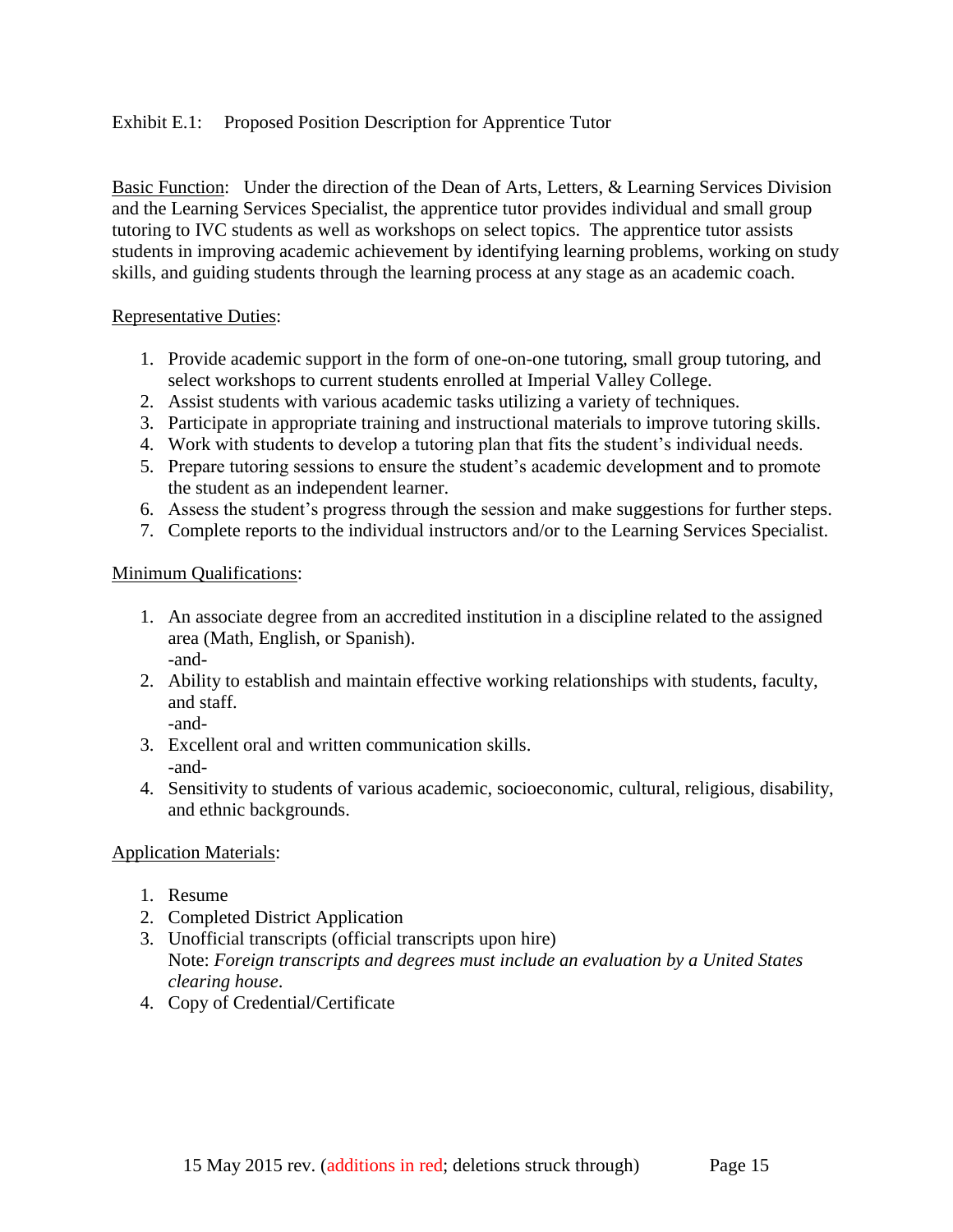## Exhibit E.1: Proposed Position Description for Apprentice Tutor

Basic Function: Under the direction of the Dean of Arts, Letters, & Learning Services Division and the Learning Services Specialist, the apprentice tutor provides individual and small group tutoring to IVC students as well as workshops on select topics. The apprentice tutor assists students in improving academic achievement by identifying learning problems, working on study skills, and guiding students through the learning process at any stage as an academic coach.

### Representative Duties:

- 1. Provide academic support in the form of one-on-one tutoring, small group tutoring, and select workshops to current students enrolled at Imperial Valley College.
- 2. Assist students with various academic tasks utilizing a variety of techniques.
- 3. Participate in appropriate training and instructional materials to improve tutoring skills.
- 4. Work with students to develop a tutoring plan that fits the student's individual needs.
- 5. Prepare tutoring sessions to ensure the student's academic development and to promote the student as an independent learner.
- 6. Assess the student's progress through the session and make suggestions for further steps.
- 7. Complete reports to the individual instructors and/or to the Learning Services Specialist.

### Minimum Qualifications:

- 1. An associate degree from an accredited institution in a discipline related to the assigned area (Math, English, or Spanish). -and-
- 2. Ability to establish and maintain effective working relationships with students, faculty, and staff.
	- -and-
- 3. Excellent oral and written communication skills. -and-
- 4. Sensitivity to students of various academic, socioeconomic, cultural, religious, disability, and ethnic backgrounds.

### Application Materials:

- 1. Resume
- 2. Completed District Application
- 3. Unofficial transcripts (official transcripts upon hire) Note: *Foreign transcripts and degrees must include an evaluation by a United States clearing house*.
- 4. Copy of Credential/Certificate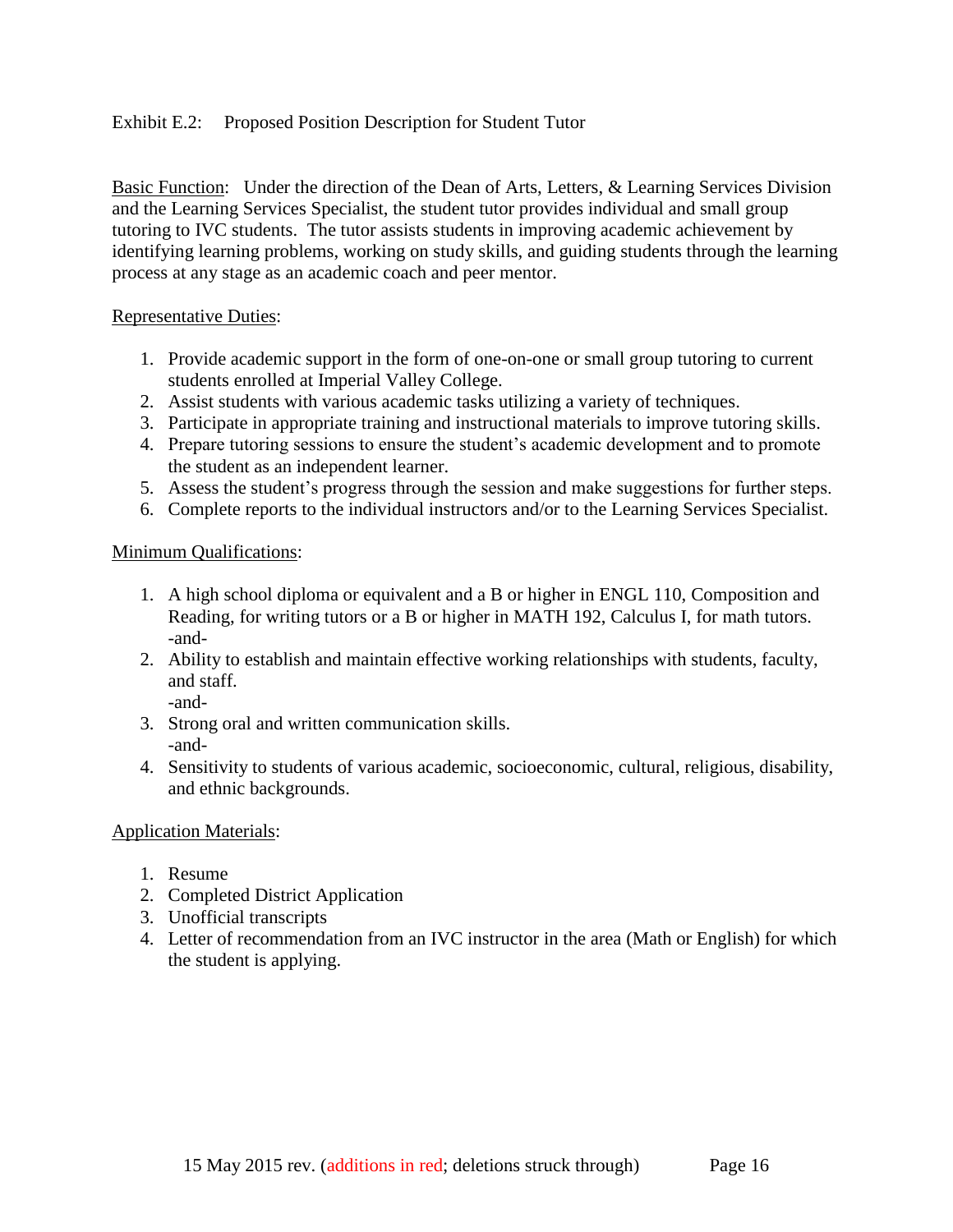## Exhibit E.2: Proposed Position Description for Student Tutor

Basic Function: Under the direction of the Dean of Arts, Letters, & Learning Services Division and the Learning Services Specialist, the student tutor provides individual and small group tutoring to IVC students. The tutor assists students in improving academic achievement by identifying learning problems, working on study skills, and guiding students through the learning process at any stage as an academic coach and peer mentor.

### Representative Duties:

- 1. Provide academic support in the form of one-on-one or small group tutoring to current students enrolled at Imperial Valley College.
- 2. Assist students with various academic tasks utilizing a variety of techniques.
- 3. Participate in appropriate training and instructional materials to improve tutoring skills.
- 4. Prepare tutoring sessions to ensure the student's academic development and to promote the student as an independent learner.
- 5. Assess the student's progress through the session and make suggestions for further steps.
- 6. Complete reports to the individual instructors and/or to the Learning Services Specialist.

## Minimum Qualifications:

- 1. A high school diploma or equivalent and a B or higher in ENGL 110, Composition and Reading, for writing tutors or a B or higher in MATH 192, Calculus I, for math tutors. -and-
- 2. Ability to establish and maintain effective working relationships with students, faculty, and staff.

-and-

- 3. Strong oral and written communication skills. -and-
- 4. Sensitivity to students of various academic, socioeconomic, cultural, religious, disability, and ethnic backgrounds.

### Application Materials:

- 1. Resume
- 2. Completed District Application
- 3. Unofficial transcripts
- 4. Letter of recommendation from an IVC instructor in the area (Math or English) for which the student is applying.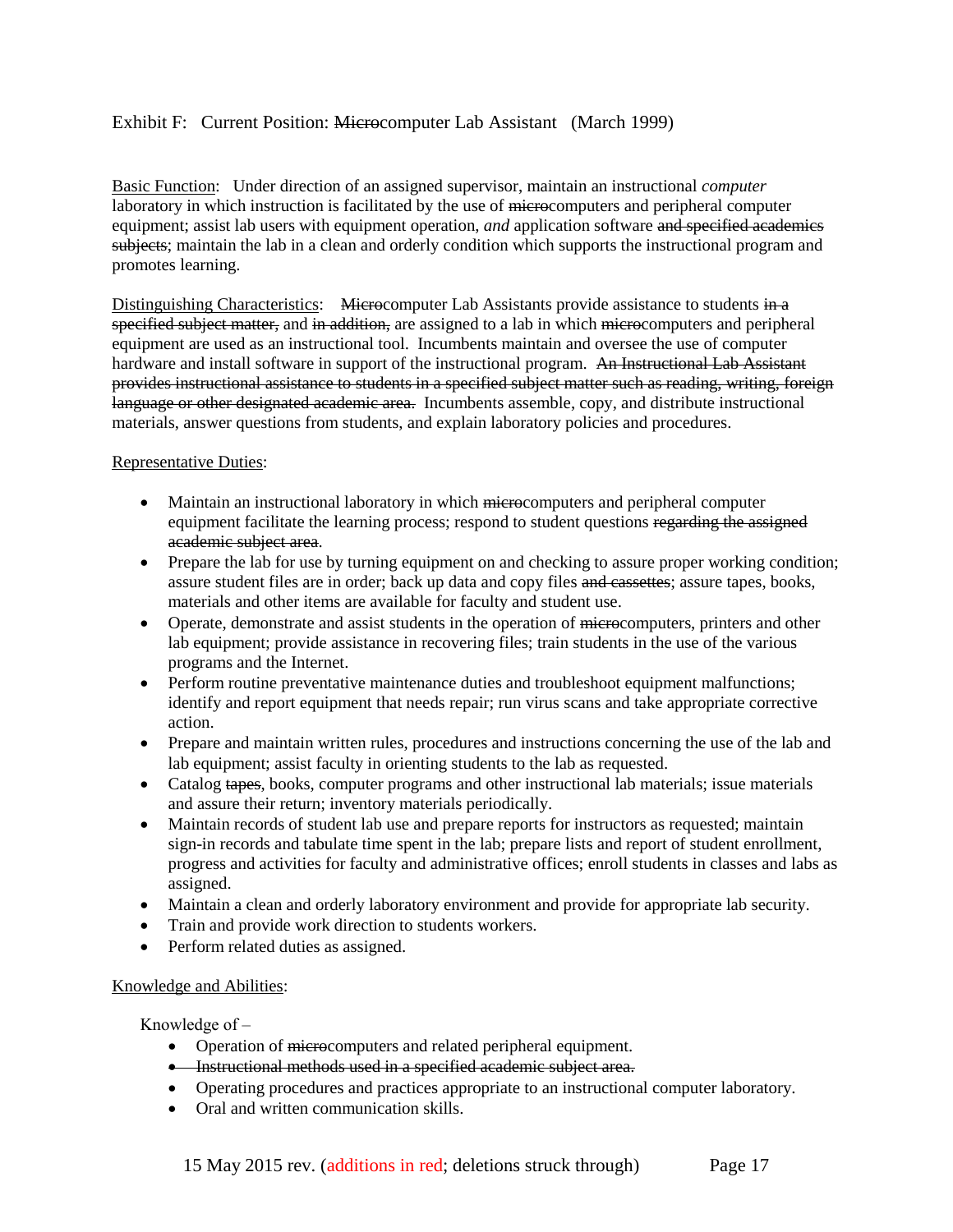### Exhibit F: Current Position: Microcomputer Lab Assistant (March 1999)

Basic Function: Under direction of an assigned supervisor, maintain an instructional *computer* laboratory in which instruction is facilitated by the use of microcomputers and peripheral computer equipment; assist lab users with equipment operation, *and* application software and specified academics subjects; maintain the lab in a clean and orderly condition which supports the instructional program and promotes learning.

Distinguishing Characteristics: Microcomputer Lab Assistants provide assistance to students in a specified subject matter, and in addition, are assigned to a lab in which microcomputers and peripheral equipment are used as an instructional tool. Incumbents maintain and oversee the use of computer hardware and install software in support of the instructional program. An Instructional Lab Assistant provides instructional assistance to students in a specified subject matter such as reading, writing, foreign language or other designated academic area. Incumbents assemble, copy, and distribute instructional materials, answer questions from students, and explain laboratory policies and procedures.

#### Representative Duties:

- Maintain an instructional laboratory in which microcomputers and peripheral computer equipment facilitate the learning process; respond to student questions regarding the assigned academic subject area.
- Prepare the lab for use by turning equipment on and checking to assure proper working condition; assure student files are in order; back up data and copy files and cassettes; assure tapes, books, materials and other items are available for faculty and student use.
- Operate, demonstrate and assist students in the operation of microcomputers, printers and other lab equipment; provide assistance in recovering files; train students in the use of the various programs and the Internet.
- Perform routine preventative maintenance duties and troubleshoot equipment malfunctions; identify and report equipment that needs repair; run virus scans and take appropriate corrective action.
- Prepare and maintain written rules, procedures and instructions concerning the use of the lab and lab equipment; assist faculty in orienting students to the lab as requested.
- Catalog tapes, books, computer programs and other instructional lab materials; issue materials and assure their return; inventory materials periodically.
- Maintain records of student lab use and prepare reports for instructors as requested; maintain sign-in records and tabulate time spent in the lab; prepare lists and report of student enrollment, progress and activities for faculty and administrative offices; enroll students in classes and labs as assigned.
- Maintain a clean and orderly laboratory environment and provide for appropriate lab security.
- Train and provide work direction to students workers.
- Perform related duties as assigned.

#### Knowledge and Abilities:

Knowledge of  $-$ 

- Operation of microcomputers and related peripheral equipment.
- **•** Instructional methods used in a specified academic subject area.
- Operating procedures and practices appropriate to an instructional computer laboratory.
- Oral and written communication skills.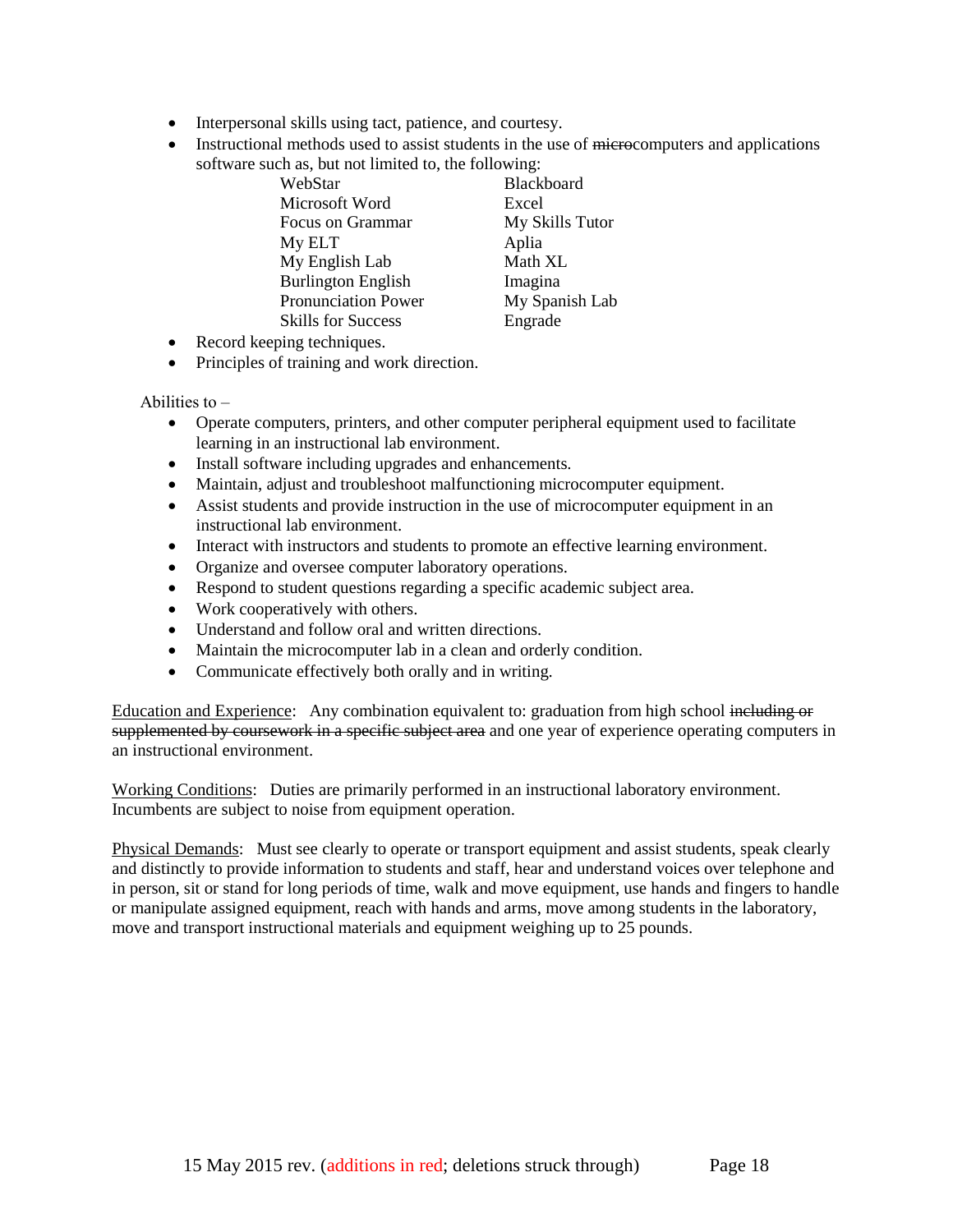- Interpersonal skills using tact, patience, and courtesy.
- Instructional methods used to assist students in the use of microcomputers and applications software such as, but not limited to, the following:

| WebStar                    | Black |
|----------------------------|-------|
| Microsoft Word             | Excel |
| <b>Focus on Grammar</b>    | MyS   |
| My ELT                     | Aplia |
| My English Lab             | Math  |
| <b>Burlington English</b>  | Imagi |
| <b>Pronunciation Power</b> | MyS   |
| <b>Skills for Success</b>  | Engra |
|                            |       |

Blackboard **My Skills Tutor** Aplia Math XL Imagina **My Spanish Lab** Engrade

- Record keeping techniques.
- Principles of training and work direction.

Abilities to  $-$ 

- Operate computers, printers, and other computer peripheral equipment used to facilitate learning in an instructional lab environment.
- Install software including upgrades and enhancements.
- Maintain, adjust and troubleshoot malfunctioning microcomputer equipment.
- Assist students and provide instruction in the use of microcomputer equipment in an instructional lab environment.
- Interact with instructors and students to promote an effective learning environment.
- Organize and oversee computer laboratory operations.
- Respond to student questions regarding a specific academic subject area.
- Work cooperatively with others.
- Understand and follow oral and written directions.
- Maintain the microcomputer lab in a clean and orderly condition.
- Communicate effectively both orally and in writing.

Education and Experience: Any combination equivalent to: graduation from high school including or supplemented by coursework in a specific subject area and one year of experience operating computers in an instructional environment.

Working Conditions: Duties are primarily performed in an instructional laboratory environment. Incumbents are subject to noise from equipment operation.

Physical Demands: Must see clearly to operate or transport equipment and assist students, speak clearly and distinctly to provide information to students and staff, hear and understand voices over telephone and in person, sit or stand for long periods of time, walk and move equipment, use hands and fingers to handle or manipulate assigned equipment, reach with hands and arms, move among students in the laboratory, move and transport instructional materials and equipment weighing up to 25 pounds.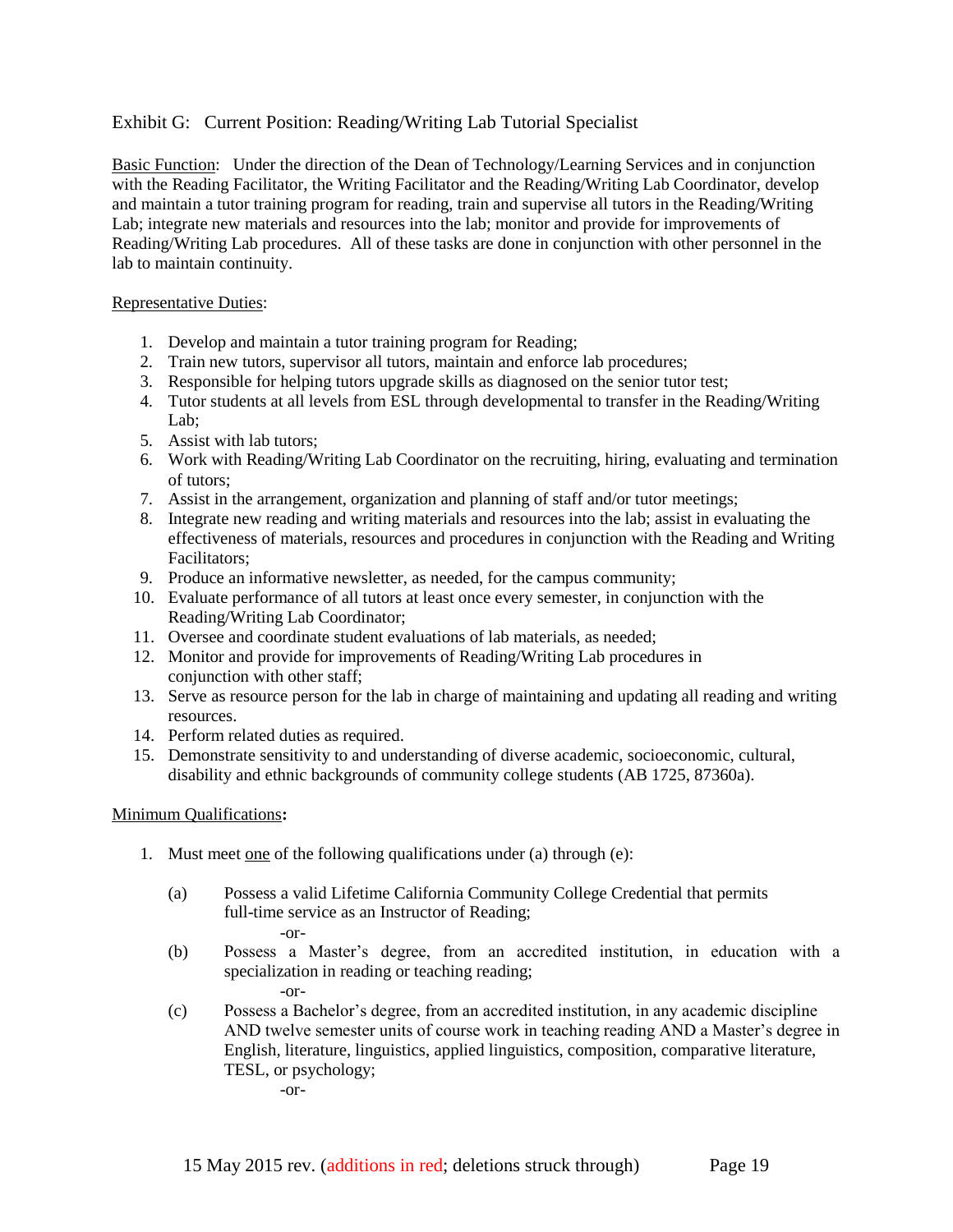### Exhibit G: Current Position: Reading/Writing Lab Tutorial Specialist

Basic Function: Under the direction of the Dean of Technology/Learning Services and in conjunction with the Reading Facilitator, the Writing Facilitator and the Reading/Writing Lab Coordinator, develop and maintain a tutor training program for reading, train and supervise all tutors in the Reading/Writing Lab; integrate new materials and resources into the lab; monitor and provide for improvements of Reading/Writing Lab procedures. All of these tasks are done in conjunction with other personnel in the lab to maintain continuity.

#### Representative Duties:

- 1. Develop and maintain a tutor training program for Reading;
- 2. Train new tutors, supervisor all tutors, maintain and enforce lab procedures;
- 3. Responsible for helping tutors upgrade skills as diagnosed on the senior tutor test;
- 4. Tutor students at all levels from ESL through developmental to transfer in the Reading/Writing Lab;
- 5. Assist with lab tutors;
- 6. Work with Reading/Writing Lab Coordinator on the recruiting, hiring, evaluating and termination of tutors;
- 7. Assist in the arrangement, organization and planning of staff and/or tutor meetings;
- 8. Integrate new reading and writing materials and resources into the lab; assist in evaluating the effectiveness of materials, resources and procedures in conjunction with the Reading and Writing Facilitators;
- 9. Produce an informative newsletter, as needed, for the campus community;
- 10. Evaluate performance of all tutors at least once every semester, in conjunction with the Reading/Writing Lab Coordinator;
- 11. Oversee and coordinate student evaluations of lab materials, as needed;
- 12. Monitor and provide for improvements of Reading/Writing Lab procedures in conjunction with other staff;
- 13. Serve as resource person for the lab in charge of maintaining and updating all reading and writing resources.
- 14. Perform related duties as required.
- 15. Demonstrate sensitivity to and understanding of diverse academic, socioeconomic, cultural, disability and ethnic backgrounds of community college students (AB 1725, 87360a).

#### Minimum Qualifications**:**

- 1. Must meet one of the following qualifications under (a) through (e):
	- (a) Possess a valid Lifetime California Community College Credential that permits full-time service as an Instructor of Reading; -or-
	- (b) Possess a Master's degree, from an accredited institution, in education with a specialization in reading or teaching reading; -or-
	- (c) Possess a Bachelor's degree, from an accredited institution, in any academic discipline AND twelve semester units of course work in teaching reading AND a Master's degree in English, literature, linguistics, applied linguistics, composition, comparative literature, TESL, or psychology; -or-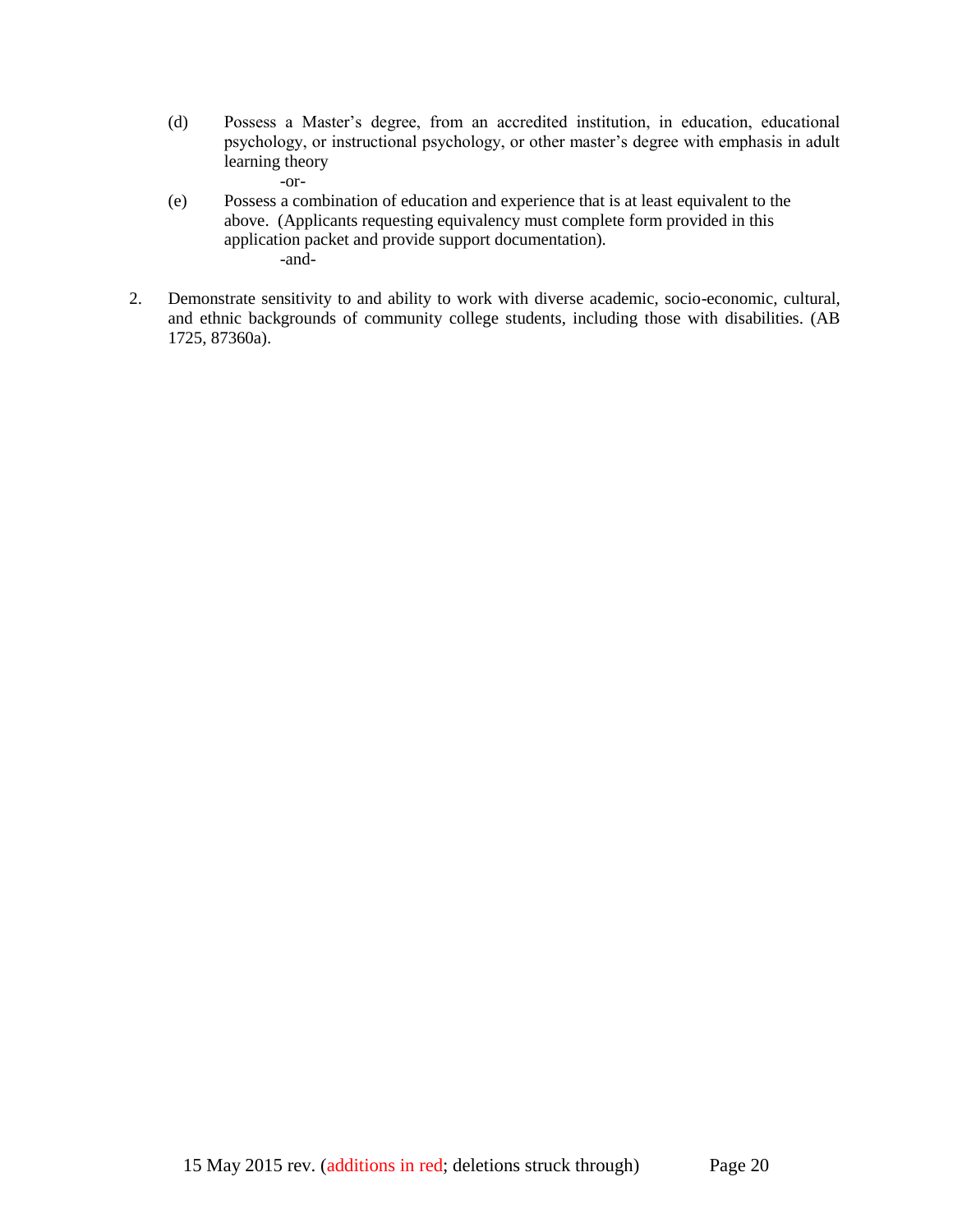(d) Possess a Master's degree, from an accredited institution, in education, educational psychology, or instructional psychology, or other master's degree with emphasis in adult learning theory

-or-

- (e) Possess a combination of education and experience that is at least equivalent to the above. (Applicants requesting equivalency must complete form provided in this application packet and provide support documentation). -and-
- 2. Demonstrate sensitivity to and ability to work with diverse academic, socio-economic, cultural, and ethnic backgrounds of community college students, including those with disabilities. (AB 1725, 87360a).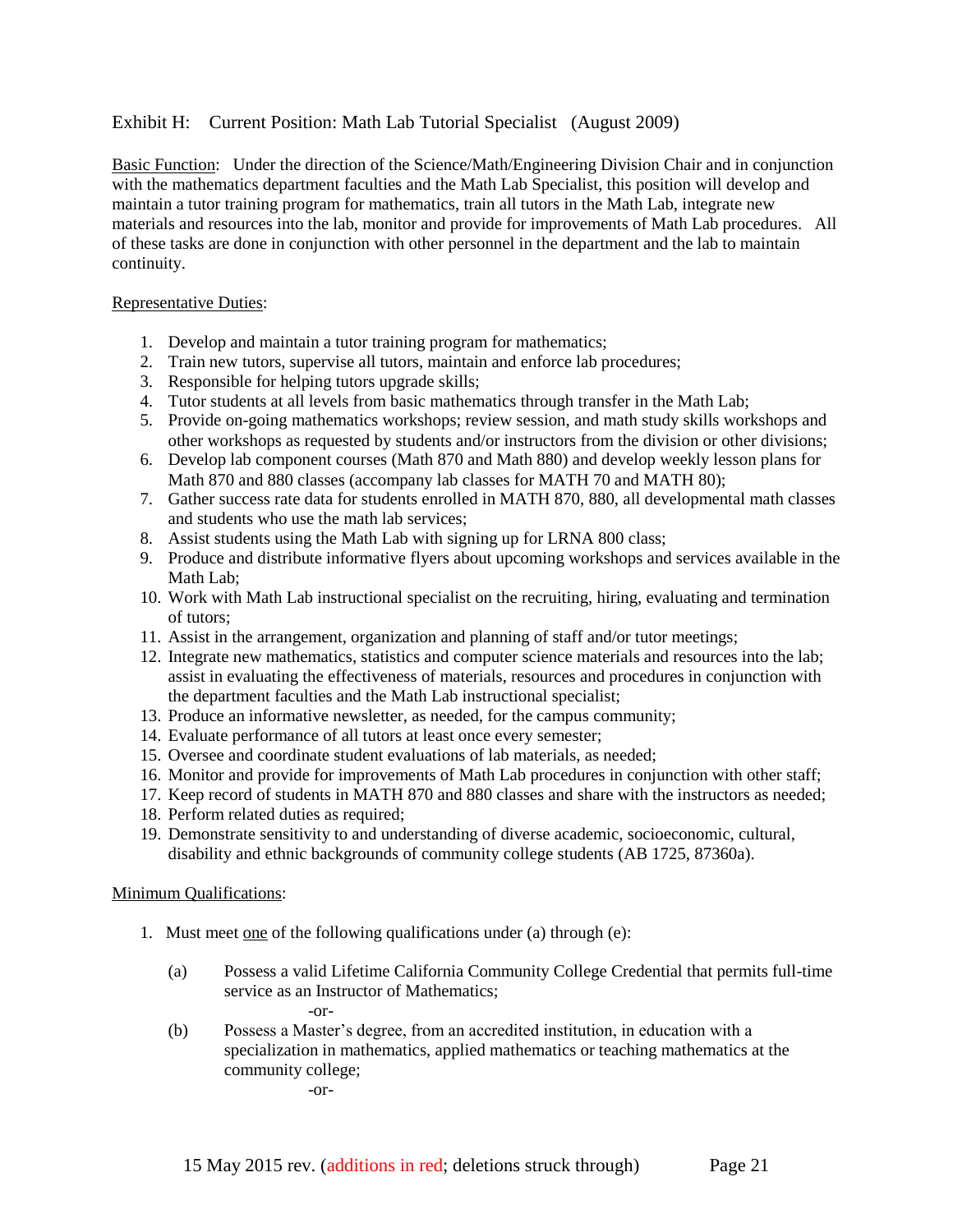### Exhibit H: Current Position: Math Lab Tutorial Specialist (August 2009)

Basic Function: Under the direction of the Science/Math/Engineering Division Chair and in conjunction with the mathematics department faculties and the Math Lab Specialist, this position will develop and maintain a tutor training program for mathematics, train all tutors in the Math Lab, integrate new materials and resources into the lab, monitor and provide for improvements of Math Lab procedures. All of these tasks are done in conjunction with other personnel in the department and the lab to maintain continuity.

#### Representative Duties:

- 1. Develop and maintain a tutor training program for mathematics;
- 2. Train new tutors, supervise all tutors, maintain and enforce lab procedures;
- 3. Responsible for helping tutors upgrade skills;
- 4. Tutor students at all levels from basic mathematics through transfer in the Math Lab;
- 5. Provide on-going mathematics workshops; review session, and math study skills workshops and other workshops as requested by students and/or instructors from the division or other divisions;
- 6. Develop lab component courses (Math 870 and Math 880) and develop weekly lesson plans for Math 870 and 880 classes (accompany lab classes for MATH 70 and MATH 80);
- 7. Gather success rate data for students enrolled in MATH 870, 880, all developmental math classes and students who use the math lab services;
- 8. Assist students using the Math Lab with signing up for LRNA 800 class;
- 9. Produce and distribute informative flyers about upcoming workshops and services available in the Math Lab;
- 10. Work with Math Lab instructional specialist on the recruiting, hiring, evaluating and termination of tutors;
- 11. Assist in the arrangement, organization and planning of staff and/or tutor meetings;
- 12. Integrate new mathematics, statistics and computer science materials and resources into the lab; assist in evaluating the effectiveness of materials, resources and procedures in conjunction with the department faculties and the Math Lab instructional specialist;
- 13. Produce an informative newsletter, as needed, for the campus community;
- 14. Evaluate performance of all tutors at least once every semester;
- 15. Oversee and coordinate student evaluations of lab materials, as needed;
- 16. Monitor and provide for improvements of Math Lab procedures in conjunction with other staff;
- 17. Keep record of students in MATH 870 and 880 classes and share with the instructors as needed;
- 18. Perform related duties as required;
- 19. Demonstrate sensitivity to and understanding of diverse academic, socioeconomic, cultural, disability and ethnic backgrounds of community college students (AB 1725, 87360a).

#### Minimum Qualifications:

- 1. Must meet one of the following qualifications under (a) through (e):
	- (a) Possess a valid Lifetime California Community College Credential that permits full-time service as an Instructor of Mathematics; -or-
	- (b) Possess a Master's degree, from an accredited institution, in education with a specialization in mathematics, applied mathematics or teaching mathematics at the community college;

-or-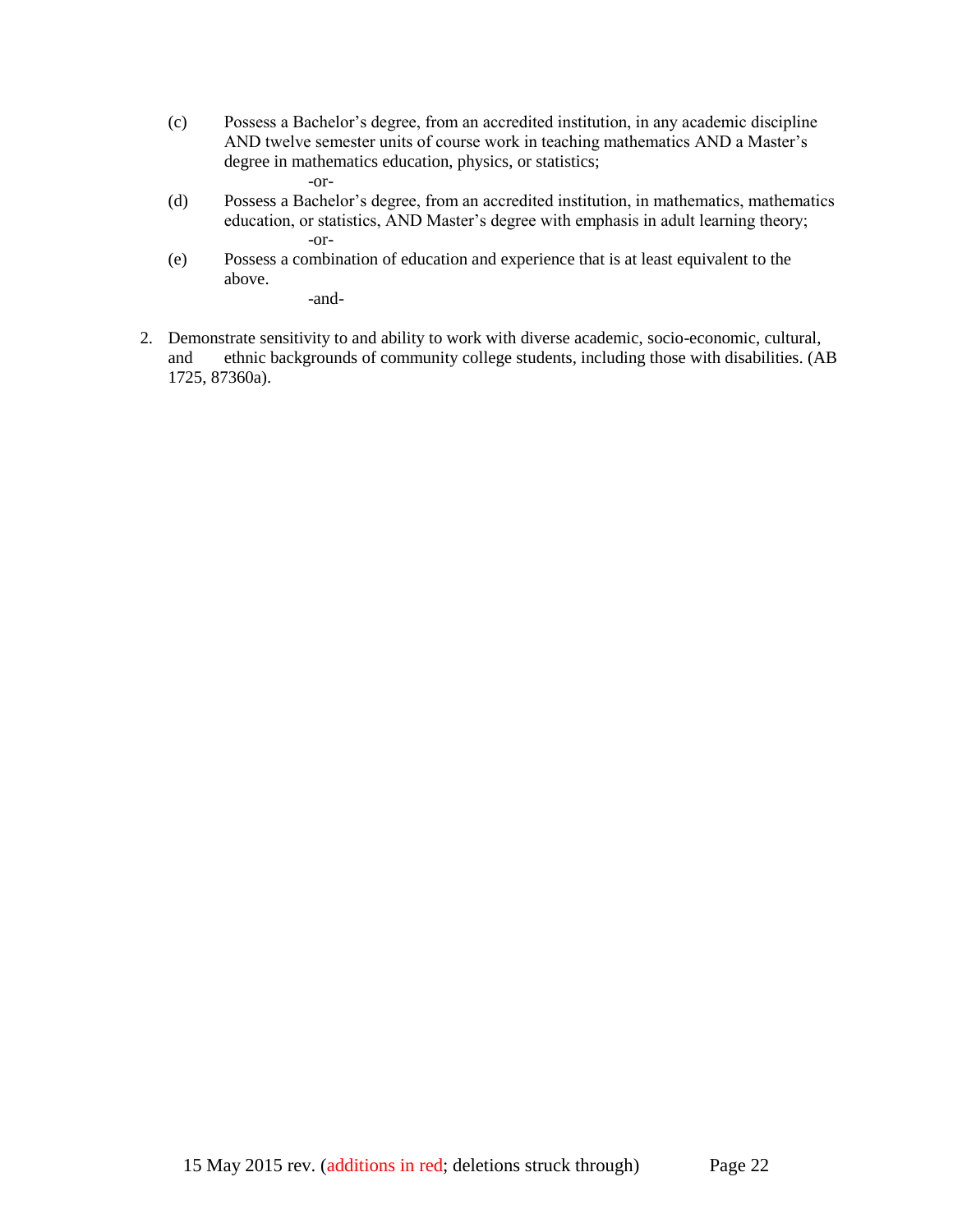- (c) Possess a Bachelor's degree, from an accredited institution, in any academic discipline AND twelve semester units of course work in teaching mathematics AND a Master's degree in mathematics education, physics, or statistics; -or-
- (d) Possess a Bachelor's degree, from an accredited institution, in mathematics, mathematics education, or statistics, AND Master's degree with emphasis in adult learning theory; -or-
- (e) Possess a combination of education and experience that is at least equivalent to the above.

-and-

2. Demonstrate sensitivity to and ability to work with diverse academic, socio-economic, cultural, and ethnic backgrounds of community college students, including those with disabilities. (AB 1725, 87360a).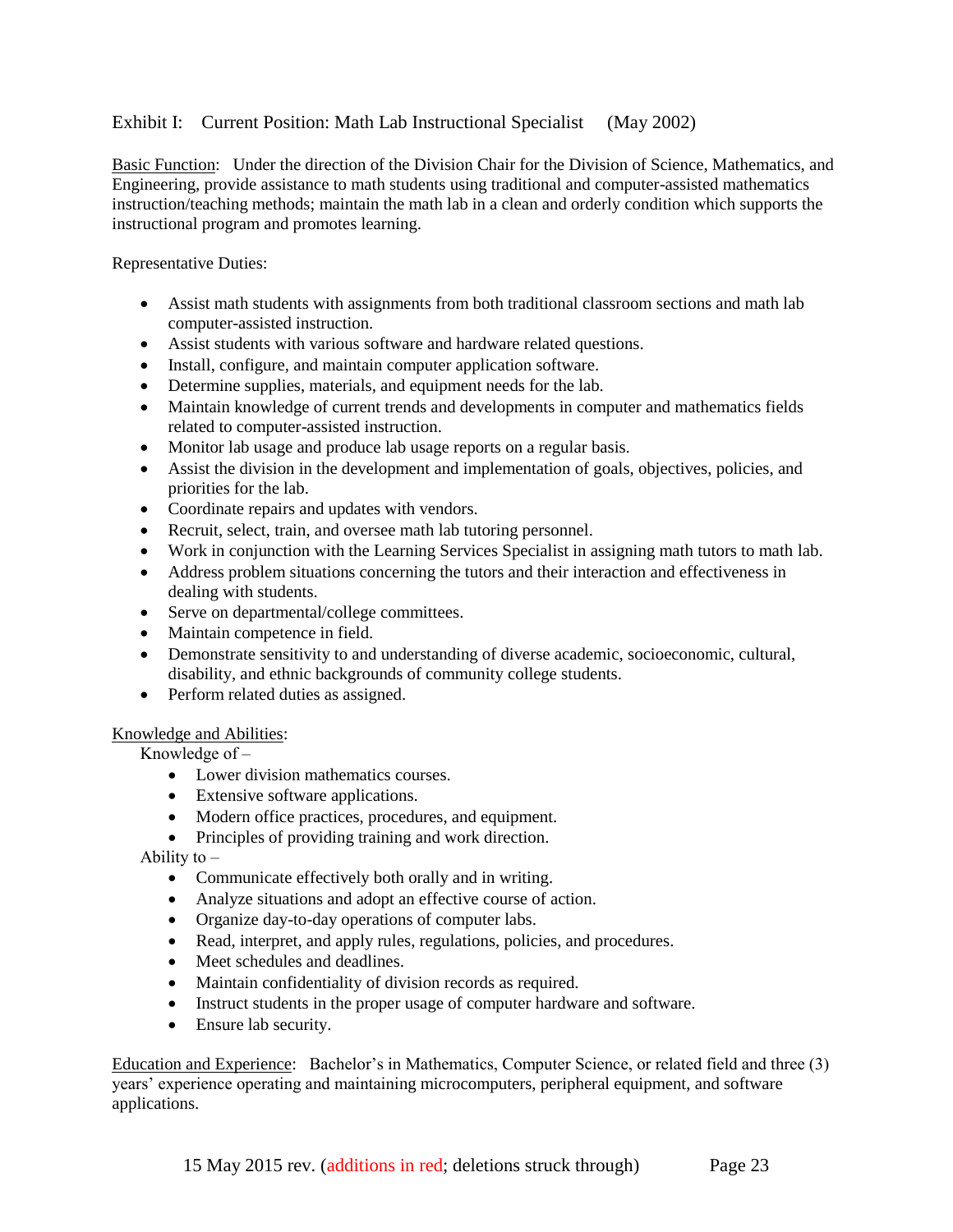### Exhibit I: Current Position: Math Lab Instructional Specialist (May 2002)

Basic Function: Under the direction of the Division Chair for the Division of Science, Mathematics, and Engineering, provide assistance to math students using traditional and computer-assisted mathematics instruction/teaching methods; maintain the math lab in a clean and orderly condition which supports the instructional program and promotes learning.

Representative Duties:

- Assist math students with assignments from both traditional classroom sections and math lab computer-assisted instruction.
- Assist students with various software and hardware related questions.
- Install, configure, and maintain computer application software.
- Determine supplies, materials, and equipment needs for the lab.
- Maintain knowledge of current trends and developments in computer and mathematics fields related to computer-assisted instruction.
- Monitor lab usage and produce lab usage reports on a regular basis.
- Assist the division in the development and implementation of goals, objectives, policies, and priorities for the lab.
- Coordinate repairs and updates with vendors.
- Recruit, select, train, and oversee math lab tutoring personnel.
- Work in conjunction with the Learning Services Specialist in assigning math tutors to math lab.
- Address problem situations concerning the tutors and their interaction and effectiveness in dealing with students.
- Serve on departmental/college committees.
- Maintain competence in field.
- Demonstrate sensitivity to and understanding of diverse academic, socioeconomic, cultural, disability, and ethnic backgrounds of community college students.
- Perform related duties as assigned.

#### Knowledge and Abilities:

Knowledge of  $-$ 

- Lower division mathematics courses.
- Extensive software applications.
- Modern office practices, procedures, and equipment.
- Principles of providing training and work direction.

Ability to  $-$ 

- Communicate effectively both orally and in writing.
- Analyze situations and adopt an effective course of action.
- Organize day-to-day operations of computer labs.
- Read, interpret, and apply rules, regulations, policies, and procedures.
- Meet schedules and deadlines.
- Maintain confidentiality of division records as required.
- Instruct students in the proper usage of computer hardware and software.
- Ensure lab security.

Education and Experience: Bachelor's in Mathematics, Computer Science, or related field and three (3) years' experience operating and maintaining microcomputers, peripheral equipment, and software applications.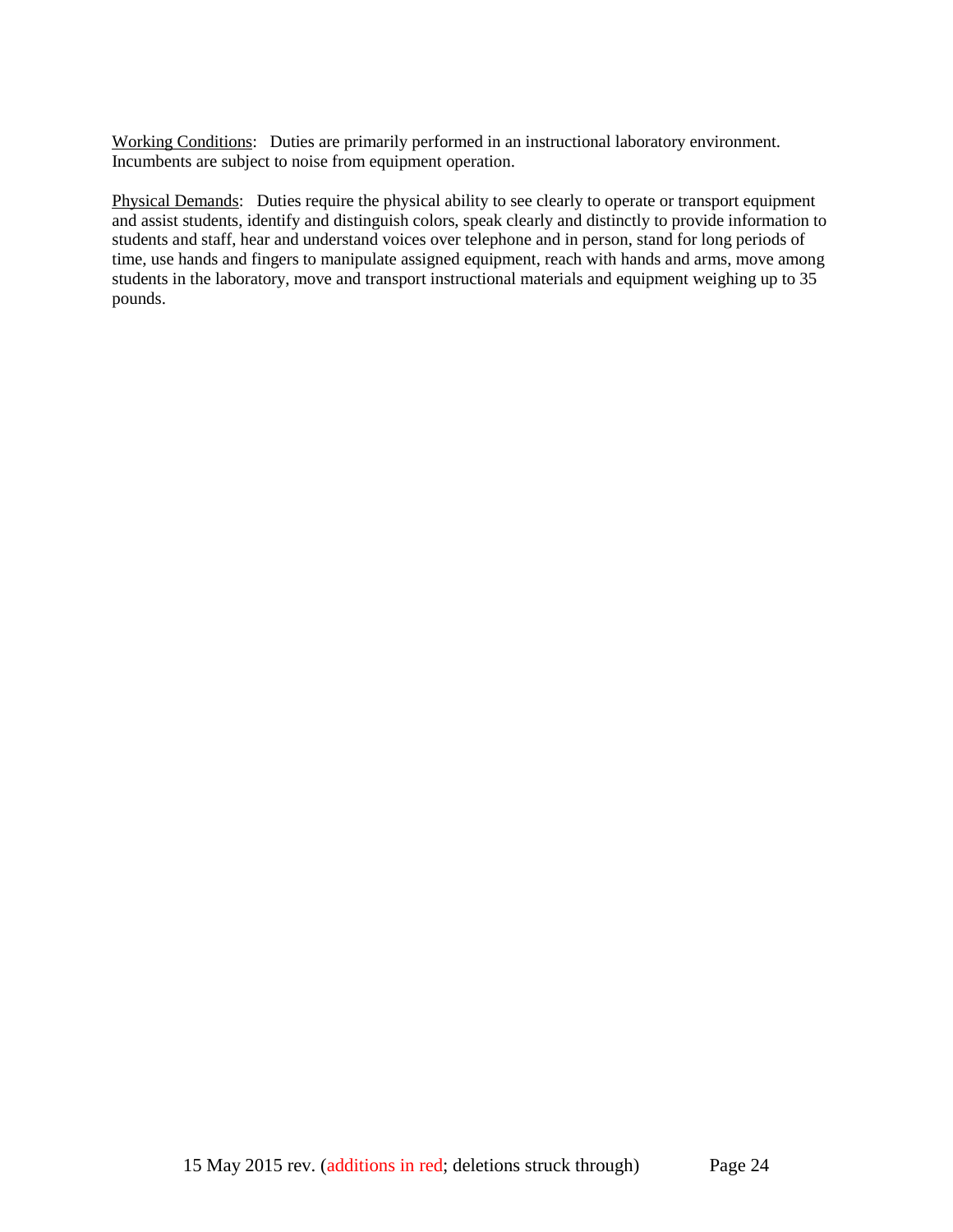Working Conditions: Duties are primarily performed in an instructional laboratory environment. Incumbents are subject to noise from equipment operation.

Physical Demands: Duties require the physical ability to see clearly to operate or transport equipment and assist students, identify and distinguish colors, speak clearly and distinctly to provide information to students and staff, hear and understand voices over telephone and in person, stand for long periods of time, use hands and fingers to manipulate assigned equipment, reach with hands and arms, move among students in the laboratory, move and transport instructional materials and equipment weighing up to 35 pounds.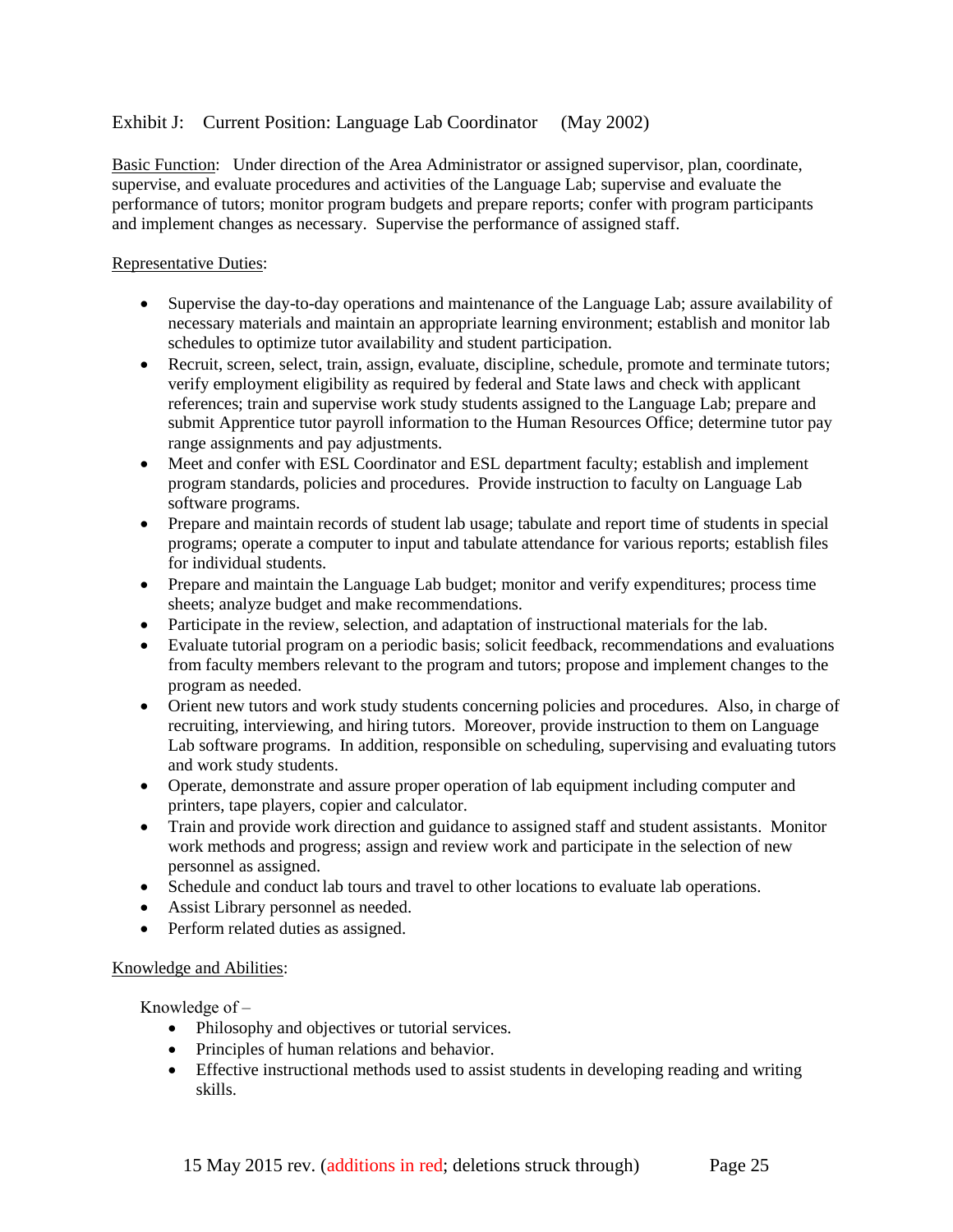## Exhibit J: Current Position: Language Lab Coordinator (May 2002)

Basic Function: Under direction of the Area Administrator or assigned supervisor, plan, coordinate, supervise, and evaluate procedures and activities of the Language Lab; supervise and evaluate the performance of tutors; monitor program budgets and prepare reports; confer with program participants and implement changes as necessary. Supervise the performance of assigned staff.

#### Representative Duties:

- Supervise the day-to-day operations and maintenance of the Language Lab; assure availability of necessary materials and maintain an appropriate learning environment; establish and monitor lab schedules to optimize tutor availability and student participation.
- Recruit, screen, select, train, assign, evaluate, discipline, schedule, promote and terminate tutors; verify employment eligibility as required by federal and State laws and check with applicant references; train and supervise work study students assigned to the Language Lab; prepare and submit Apprentice tutor payroll information to the Human Resources Office; determine tutor pay range assignments and pay adjustments.
- Meet and confer with ESL Coordinator and ESL department faculty; establish and implement program standards, policies and procedures. Provide instruction to faculty on Language Lab software programs.
- Prepare and maintain records of student lab usage; tabulate and report time of students in special programs; operate a computer to input and tabulate attendance for various reports; establish files for individual students.
- Prepare and maintain the Language Lab budget; monitor and verify expenditures; process time sheets; analyze budget and make recommendations.
- Participate in the review, selection, and adaptation of instructional materials for the lab.
- Evaluate tutorial program on a periodic basis; solicit feedback, recommendations and evaluations from faculty members relevant to the program and tutors; propose and implement changes to the program as needed.
- Orient new tutors and work study students concerning policies and procedures. Also, in charge of recruiting, interviewing, and hiring tutors. Moreover, provide instruction to them on Language Lab software programs. In addition, responsible on scheduling, supervising and evaluating tutors and work study students.
- Operate, demonstrate and assure proper operation of lab equipment including computer and printers, tape players, copier and calculator.
- Train and provide work direction and guidance to assigned staff and student assistants. Monitor work methods and progress; assign and review work and participate in the selection of new personnel as assigned.
- Schedule and conduct lab tours and travel to other locations to evaluate lab operations.
- Assist Library personnel as needed.
- Perform related duties as assigned.

#### Knowledge and Abilities:

Knowledge of  $-$ 

- Philosophy and objectives or tutorial services.
- Principles of human relations and behavior.
- Effective instructional methods used to assist students in developing reading and writing skills.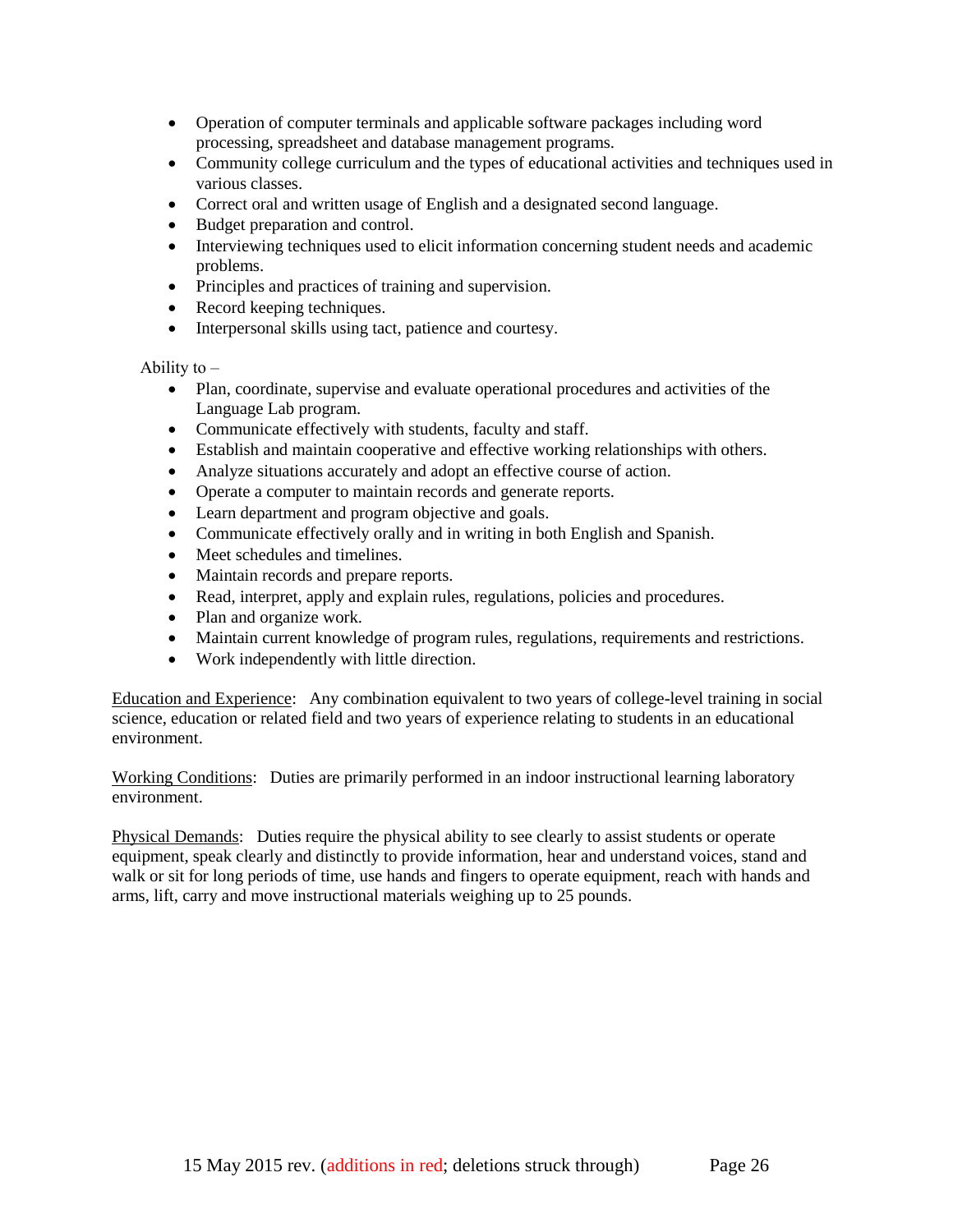- Operation of computer terminals and applicable software packages including word processing, spreadsheet and database management programs.
- Community college curriculum and the types of educational activities and techniques used in various classes.
- Correct oral and written usage of English and a designated second language.
- Budget preparation and control.
- Interviewing techniques used to elicit information concerning student needs and academic problems.
- Principles and practices of training and supervision.
- Record keeping techniques.
- Interpersonal skills using tact, patience and courtesy.

Ability to  $-$ 

- Plan, coordinate, supervise and evaluate operational procedures and activities of the Language Lab program.
- Communicate effectively with students, faculty and staff.
- Establish and maintain cooperative and effective working relationships with others.
- Analyze situations accurately and adopt an effective course of action.
- Operate a computer to maintain records and generate reports.
- Learn department and program objective and goals.
- Communicate effectively orally and in writing in both English and Spanish.
- Meet schedules and timelines.
- Maintain records and prepare reports.
- Read, interpret, apply and explain rules, regulations, policies and procedures.
- Plan and organize work.
- Maintain current knowledge of program rules, regulations, requirements and restrictions.
- Work independently with little direction.

Education and Experience: Any combination equivalent to two years of college-level training in social science, education or related field and two years of experience relating to students in an educational environment.

Working Conditions: Duties are primarily performed in an indoor instructional learning laboratory environment.

Physical Demands: Duties require the physical ability to see clearly to assist students or operate equipment, speak clearly and distinctly to provide information, hear and understand voices, stand and walk or sit for long periods of time, use hands and fingers to operate equipment, reach with hands and arms, lift, carry and move instructional materials weighing up to 25 pounds.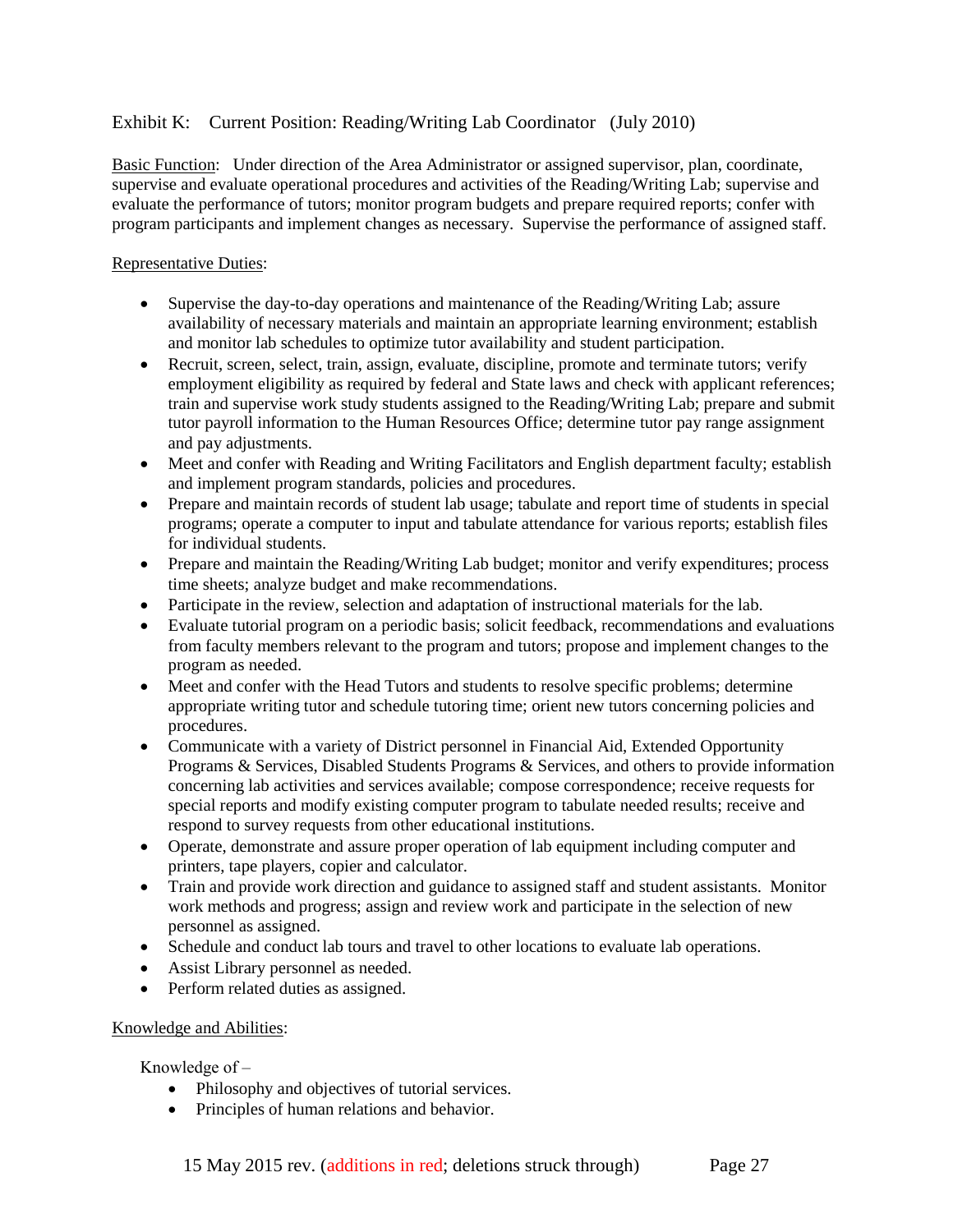### Exhibit K: Current Position: Reading/Writing Lab Coordinator (July 2010)

Basic Function: Under direction of the Area Administrator or assigned supervisor, plan, coordinate, supervise and evaluate operational procedures and activities of the Reading/Writing Lab; supervise and evaluate the performance of tutors; monitor program budgets and prepare required reports; confer with program participants and implement changes as necessary. Supervise the performance of assigned staff.

#### Representative Duties:

- Supervise the day-to-day operations and maintenance of the Reading/Writing Lab; assure availability of necessary materials and maintain an appropriate learning environment; establish and monitor lab schedules to optimize tutor availability and student participation.
- Recruit, screen, select, train, assign, evaluate, discipline, promote and terminate tutors; verify employment eligibility as required by federal and State laws and check with applicant references; train and supervise work study students assigned to the Reading/Writing Lab; prepare and submit tutor payroll information to the Human Resources Office; determine tutor pay range assignment and pay adjustments.
- Meet and confer with Reading and Writing Facilitators and English department faculty; establish and implement program standards, policies and procedures.
- Prepare and maintain records of student lab usage; tabulate and report time of students in special programs; operate a computer to input and tabulate attendance for various reports; establish files for individual students.
- Prepare and maintain the Reading/Writing Lab budget; monitor and verify expenditures; process time sheets; analyze budget and make recommendations.
- Participate in the review, selection and adaptation of instructional materials for the lab.
- Evaluate tutorial program on a periodic basis; solicit feedback, recommendations and evaluations from faculty members relevant to the program and tutors; propose and implement changes to the program as needed.
- Meet and confer with the Head Tutors and students to resolve specific problems; determine appropriate writing tutor and schedule tutoring time; orient new tutors concerning policies and procedures.
- Communicate with a variety of District personnel in Financial Aid, Extended Opportunity Programs & Services, Disabled Students Programs & Services, and others to provide information concerning lab activities and services available; compose correspondence; receive requests for special reports and modify existing computer program to tabulate needed results; receive and respond to survey requests from other educational institutions.
- Operate, demonstrate and assure proper operation of lab equipment including computer and printers, tape players, copier and calculator.
- Train and provide work direction and guidance to assigned staff and student assistants. Monitor work methods and progress; assign and review work and participate in the selection of new personnel as assigned.
- Schedule and conduct lab tours and travel to other locations to evaluate lab operations.
- Assist Library personnel as needed.
- Perform related duties as assigned.

#### Knowledge and Abilities:

### Knowledge of  $-$

- Philosophy and objectives of tutorial services.
- Principles of human relations and behavior.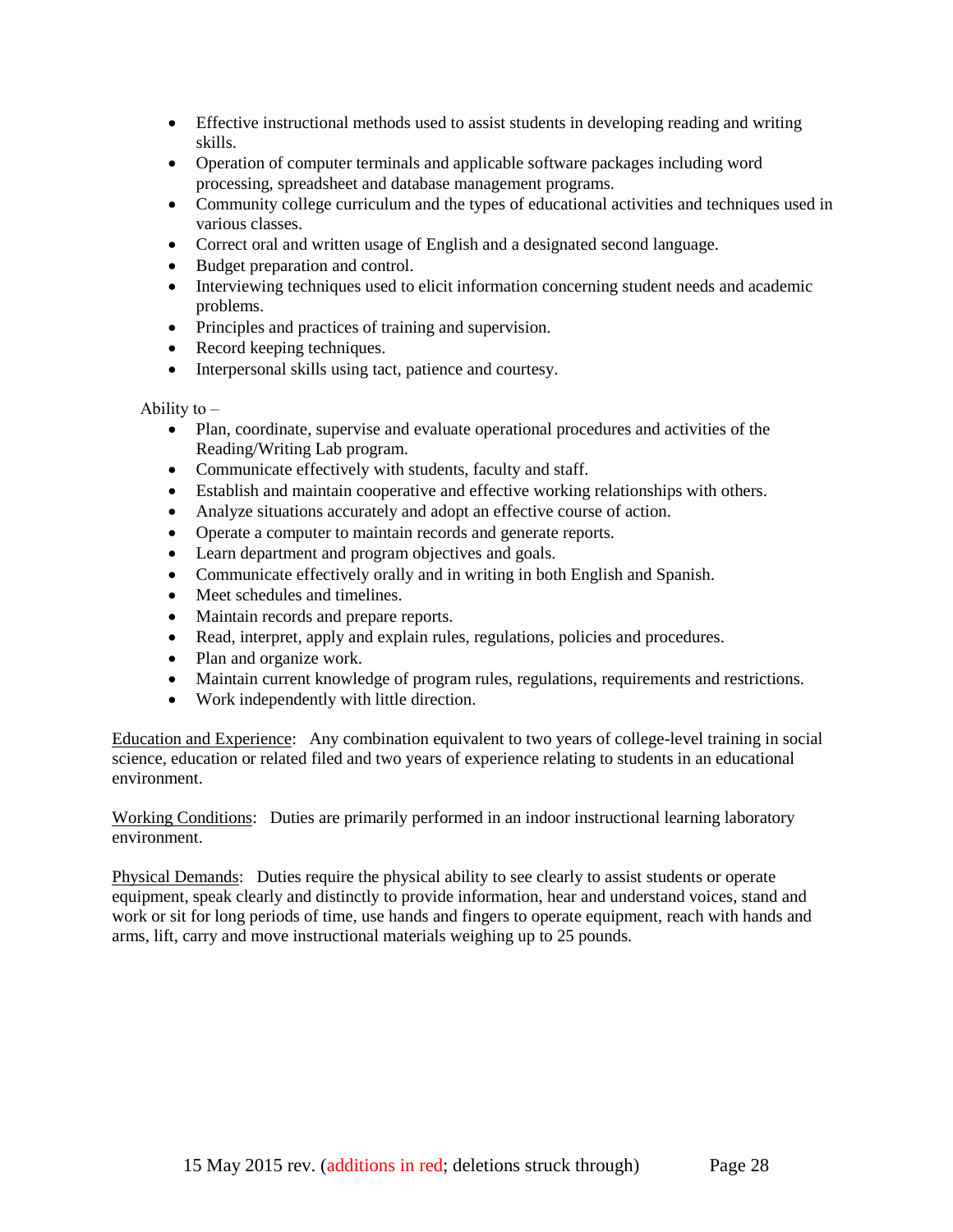- Effective instructional methods used to assist students in developing reading and writing skills.
- Operation of computer terminals and applicable software packages including word processing, spreadsheet and database management programs.
- Community college curriculum and the types of educational activities and techniques used in various classes.
- Correct oral and written usage of English and a designated second language.
- Budget preparation and control.
- Interviewing techniques used to elicit information concerning student needs and academic problems.
- Principles and practices of training and supervision.
- Record keeping techniques.
- Interpersonal skills using tact, patience and courtesy.

#### Ability to  $-$

- Plan, coordinate, supervise and evaluate operational procedures and activities of the Reading/Writing Lab program.
- Communicate effectively with students, faculty and staff.
- Establish and maintain cooperative and effective working relationships with others.
- Analyze situations accurately and adopt an effective course of action.
- Operate a computer to maintain records and generate reports.
- Learn department and program objectives and goals.
- Communicate effectively orally and in writing in both English and Spanish.
- Meet schedules and timelines.
- Maintain records and prepare reports.
- Read, interpret, apply and explain rules, regulations, policies and procedures.
- Plan and organize work.
- Maintain current knowledge of program rules, regulations, requirements and restrictions.
- Work independently with little direction.

Education and Experience: Any combination equivalent to two years of college-level training in social science, education or related filed and two years of experience relating to students in an educational environment.

Working Conditions: Duties are primarily performed in an indoor instructional learning laboratory environment.

Physical Demands: Duties require the physical ability to see clearly to assist students or operate equipment, speak clearly and distinctly to provide information, hear and understand voices, stand and work or sit for long periods of time, use hands and fingers to operate equipment, reach with hands and arms, lift, carry and move instructional materials weighing up to 25 pounds.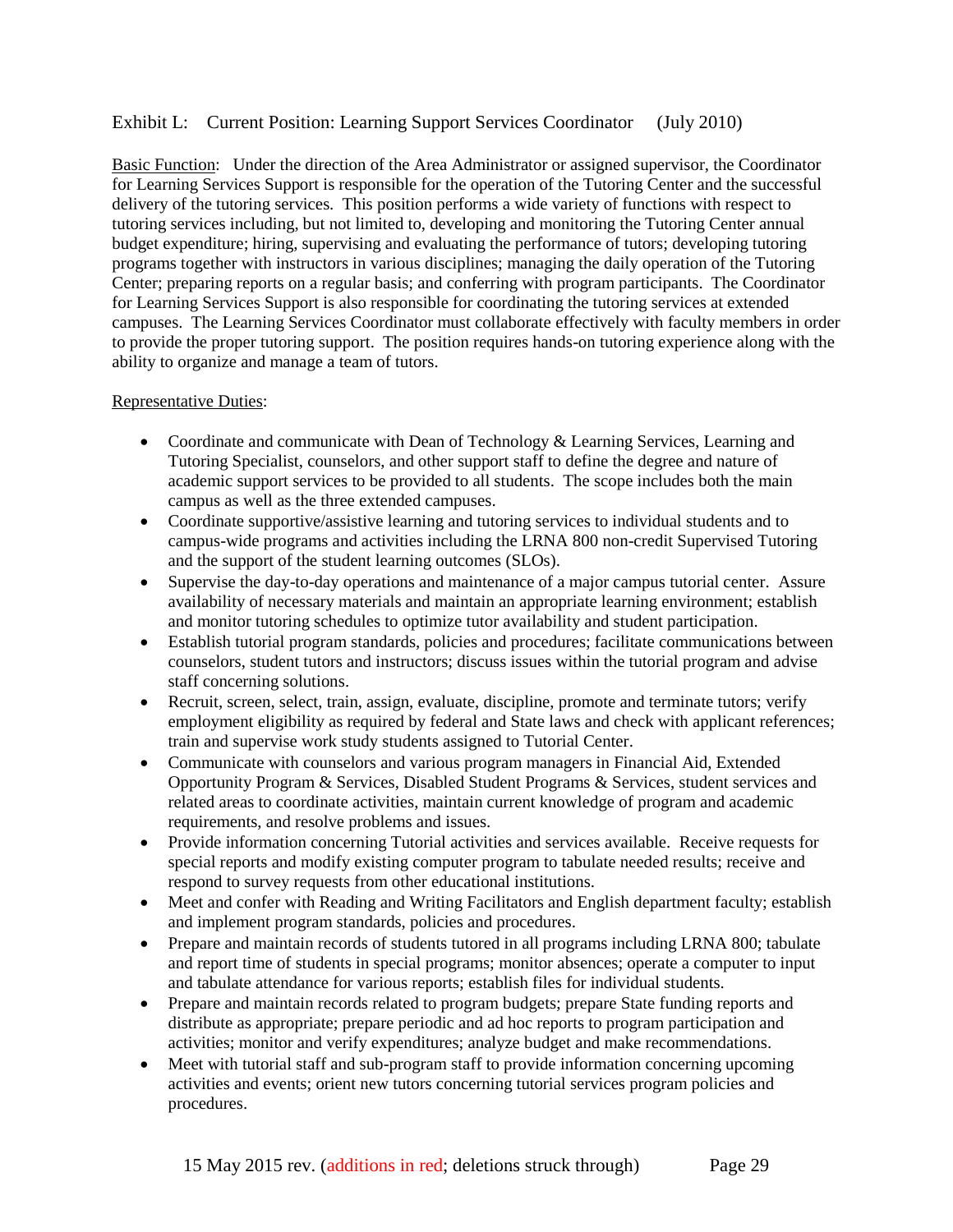### Exhibit L: Current Position: Learning Support Services Coordinator (July 2010)

Basic Function: Under the direction of the Area Administrator or assigned supervisor, the Coordinator for Learning Services Support is responsible for the operation of the Tutoring Center and the successful delivery of the tutoring services. This position performs a wide variety of functions with respect to tutoring services including, but not limited to, developing and monitoring the Tutoring Center annual budget expenditure; hiring, supervising and evaluating the performance of tutors; developing tutoring programs together with instructors in various disciplines; managing the daily operation of the Tutoring Center; preparing reports on a regular basis; and conferring with program participants. The Coordinator for Learning Services Support is also responsible for coordinating the tutoring services at extended campuses. The Learning Services Coordinator must collaborate effectively with faculty members in order to provide the proper tutoring support. The position requires hands-on tutoring experience along with the ability to organize and manage a team of tutors.

#### Representative Duties:

- Coordinate and communicate with Dean of Technology & Learning Services, Learning and Tutoring Specialist, counselors, and other support staff to define the degree and nature of academic support services to be provided to all students. The scope includes both the main campus as well as the three extended campuses.
- Coordinate supportive/assistive learning and tutoring services to individual students and to campus-wide programs and activities including the LRNA 800 non-credit Supervised Tutoring and the support of the student learning outcomes (SLOs).
- Supervise the day-to-day operations and maintenance of a major campus tutorial center. Assure availability of necessary materials and maintain an appropriate learning environment; establish and monitor tutoring schedules to optimize tutor availability and student participation.
- Establish tutorial program standards, policies and procedures; facilitate communications between counselors, student tutors and instructors; discuss issues within the tutorial program and advise staff concerning solutions.
- Recruit, screen, select, train, assign, evaluate, discipline, promote and terminate tutors; verify employment eligibility as required by federal and State laws and check with applicant references; train and supervise work study students assigned to Tutorial Center.
- Communicate with counselors and various program managers in Financial Aid, Extended Opportunity Program & Services, Disabled Student Programs & Services, student services and related areas to coordinate activities, maintain current knowledge of program and academic requirements, and resolve problems and issues.
- Provide information concerning Tutorial activities and services available. Receive requests for special reports and modify existing computer program to tabulate needed results; receive and respond to survey requests from other educational institutions.
- Meet and confer with Reading and Writing Facilitators and English department faculty; establish and implement program standards, policies and procedures.
- Prepare and maintain records of students tutored in all programs including LRNA 800; tabulate and report time of students in special programs; monitor absences; operate a computer to input and tabulate attendance for various reports; establish files for individual students.
- Prepare and maintain records related to program budgets; prepare State funding reports and distribute as appropriate; prepare periodic and ad hoc reports to program participation and activities; monitor and verify expenditures; analyze budget and make recommendations.
- Meet with tutorial staff and sub-program staff to provide information concerning upcoming activities and events; orient new tutors concerning tutorial services program policies and procedures.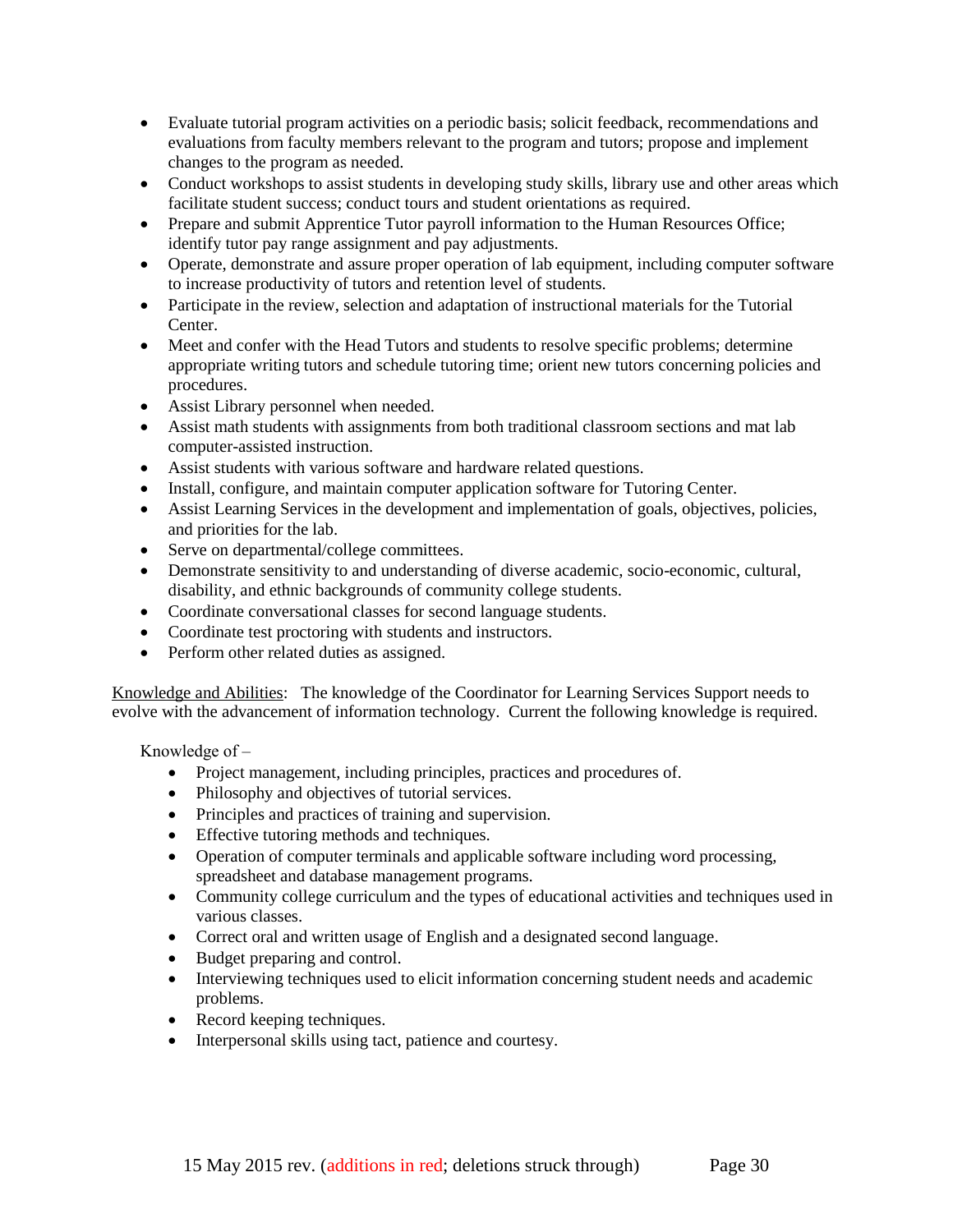- Evaluate tutorial program activities on a periodic basis; solicit feedback, recommendations and evaluations from faculty members relevant to the program and tutors; propose and implement changes to the program as needed.
- Conduct workshops to assist students in developing study skills, library use and other areas which facilitate student success; conduct tours and student orientations as required.
- Prepare and submit Apprentice Tutor payroll information to the Human Resources Office; identify tutor pay range assignment and pay adjustments.
- Operate, demonstrate and assure proper operation of lab equipment, including computer software to increase productivity of tutors and retention level of students.
- Participate in the review, selection and adaptation of instructional materials for the Tutorial Center.
- Meet and confer with the Head Tutors and students to resolve specific problems; determine appropriate writing tutors and schedule tutoring time; orient new tutors concerning policies and procedures.
- Assist Library personnel when needed.
- Assist math students with assignments from both traditional classroom sections and mat lab computer-assisted instruction.
- Assist students with various software and hardware related questions.
- Install, configure, and maintain computer application software for Tutoring Center.
- Assist Learning Services in the development and implementation of goals, objectives, policies, and priorities for the lab.
- Serve on departmental/college committees.
- Demonstrate sensitivity to and understanding of diverse academic, socio-economic, cultural, disability, and ethnic backgrounds of community college students.
- Coordinate conversational classes for second language students.
- Coordinate test proctoring with students and instructors.
- Perform other related duties as assigned.

Knowledge and Abilities: The knowledge of the Coordinator for Learning Services Support needs to evolve with the advancement of information technology. Current the following knowledge is required.

Knowledge of  $-$ 

- Project management, including principles, practices and procedures of.
- Philosophy and objectives of tutorial services.
- Principles and practices of training and supervision.
- Effective tutoring methods and techniques.
- Operation of computer terminals and applicable software including word processing, spreadsheet and database management programs.
- Community college curriculum and the types of educational activities and techniques used in various classes.
- Correct oral and written usage of English and a designated second language.
- Budget preparing and control.
- Interviewing techniques used to elicit information concerning student needs and academic problems.
- Record keeping techniques.
- Interpersonal skills using tact, patience and courtesy.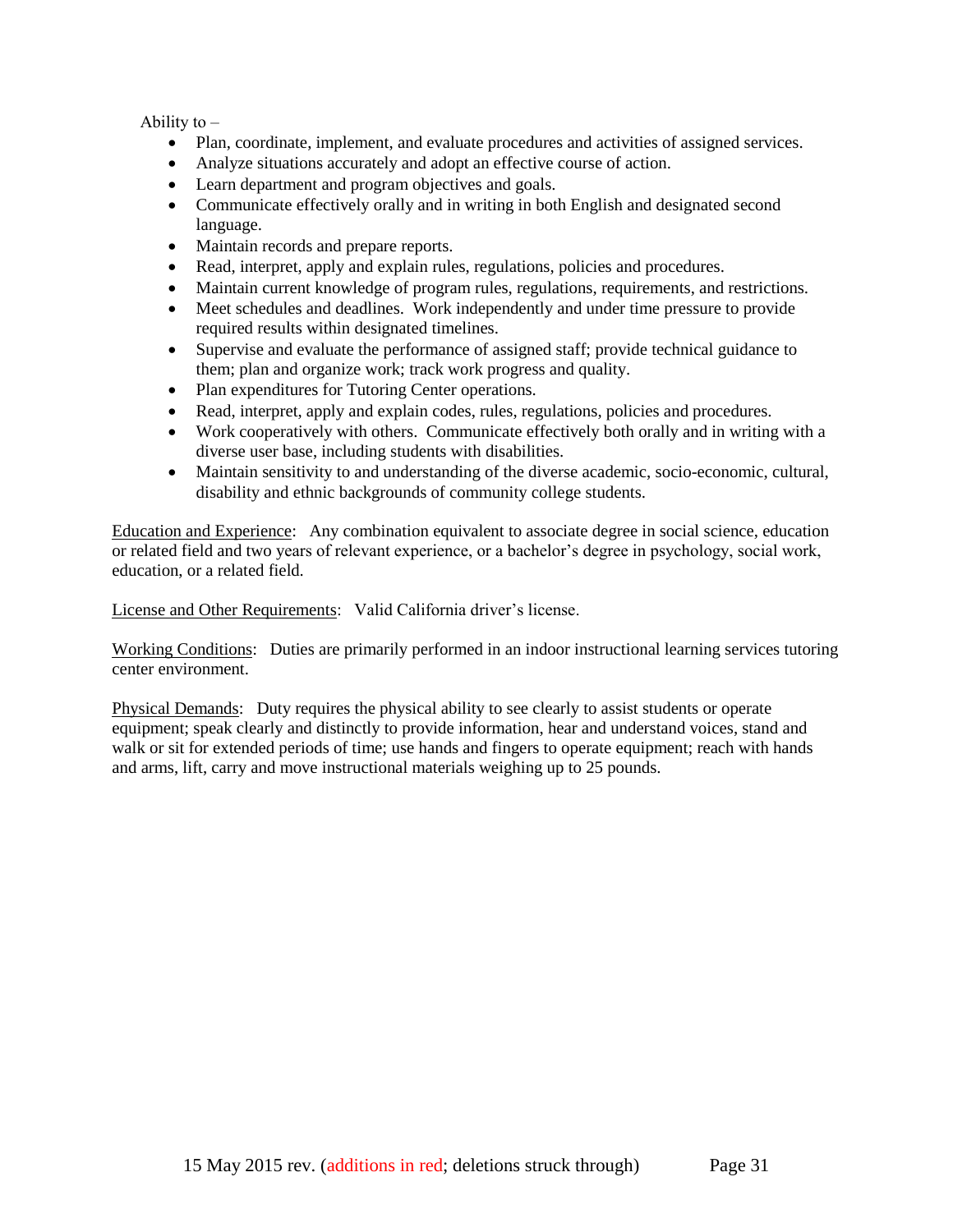Ability to  $-$ 

- Plan, coordinate, implement, and evaluate procedures and activities of assigned services.
- Analyze situations accurately and adopt an effective course of action.
- Learn department and program objectives and goals.
- Communicate effectively orally and in writing in both English and designated second language.
- Maintain records and prepare reports.
- Read, interpret, apply and explain rules, regulations, policies and procedures.
- Maintain current knowledge of program rules, regulations, requirements, and restrictions.
- Meet schedules and deadlines. Work independently and under time pressure to provide required results within designated timelines.
- Supervise and evaluate the performance of assigned staff; provide technical guidance to them; plan and organize work; track work progress and quality.
- Plan expenditures for Tutoring Center operations.
- Read, interpret, apply and explain codes, rules, regulations, policies and procedures.
- Work cooperatively with others. Communicate effectively both orally and in writing with a diverse user base, including students with disabilities.
- Maintain sensitivity to and understanding of the diverse academic, socio-economic, cultural, disability and ethnic backgrounds of community college students.

Education and Experience: Any combination equivalent to associate degree in social science, education or related field and two years of relevant experience, or a bachelor's degree in psychology, social work, education, or a related field.

License and Other Requirements: Valid California driver's license.

Working Conditions: Duties are primarily performed in an indoor instructional learning services tutoring center environment.

Physical Demands: Duty requires the physical ability to see clearly to assist students or operate equipment; speak clearly and distinctly to provide information, hear and understand voices, stand and walk or sit for extended periods of time; use hands and fingers to operate equipment; reach with hands and arms, lift, carry and move instructional materials weighing up to 25 pounds.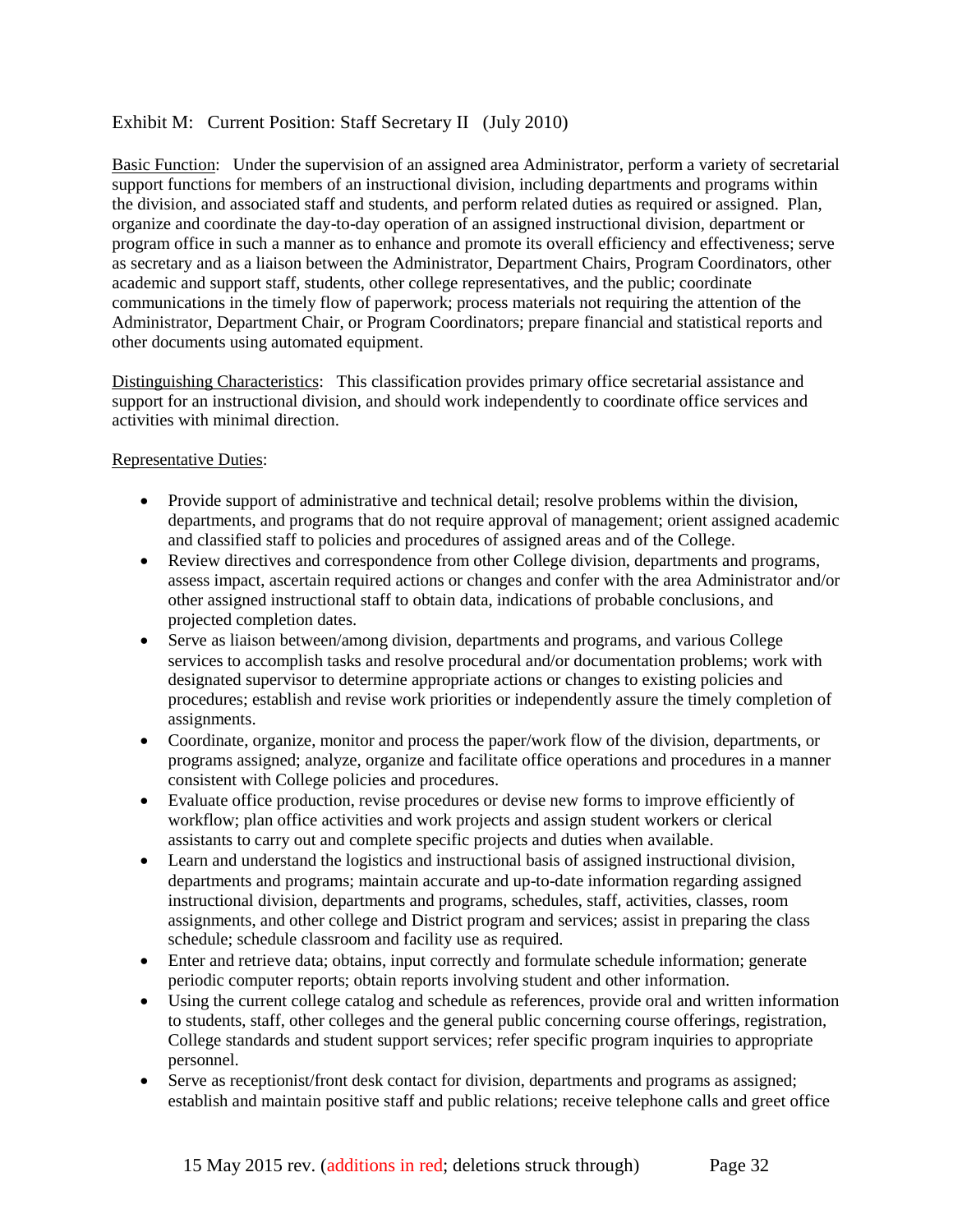## Exhibit M: Current Position: Staff Secretary II (July 2010)

Basic Function: Under the supervision of an assigned area Administrator, perform a variety of secretarial support functions for members of an instructional division, including departments and programs within the division, and associated staff and students, and perform related duties as required or assigned. Plan, organize and coordinate the day-to-day operation of an assigned instructional division, department or program office in such a manner as to enhance and promote its overall efficiency and effectiveness; serve as secretary and as a liaison between the Administrator, Department Chairs, Program Coordinators, other academic and support staff, students, other college representatives, and the public; coordinate communications in the timely flow of paperwork; process materials not requiring the attention of the Administrator, Department Chair, or Program Coordinators; prepare financial and statistical reports and other documents using automated equipment.

Distinguishing Characteristics: This classification provides primary office secretarial assistance and support for an instructional division, and should work independently to coordinate office services and activities with minimal direction.

#### Representative Duties:

- Provide support of administrative and technical detail; resolve problems within the division, departments, and programs that do not require approval of management; orient assigned academic and classified staff to policies and procedures of assigned areas and of the College.
- Review directives and correspondence from other College division, departments and programs, assess impact, ascertain required actions or changes and confer with the area Administrator and/or other assigned instructional staff to obtain data, indications of probable conclusions, and projected completion dates.
- Serve as liaison between/among division, departments and programs, and various College services to accomplish tasks and resolve procedural and/or documentation problems; work with designated supervisor to determine appropriate actions or changes to existing policies and procedures; establish and revise work priorities or independently assure the timely completion of assignments.
- Coordinate, organize, monitor and process the paper/work flow of the division, departments, or programs assigned; analyze, organize and facilitate office operations and procedures in a manner consistent with College policies and procedures.
- Evaluate office production, revise procedures or devise new forms to improve efficiently of workflow; plan office activities and work projects and assign student workers or clerical assistants to carry out and complete specific projects and duties when available.
- Learn and understand the logistics and instructional basis of assigned instructional division, departments and programs; maintain accurate and up-to-date information regarding assigned instructional division, departments and programs, schedules, staff, activities, classes, room assignments, and other college and District program and services; assist in preparing the class schedule; schedule classroom and facility use as required.
- Enter and retrieve data; obtains, input correctly and formulate schedule information; generate periodic computer reports; obtain reports involving student and other information.
- Using the current college catalog and schedule as references, provide oral and written information to students, staff, other colleges and the general public concerning course offerings, registration, College standards and student support services; refer specific program inquiries to appropriate personnel.
- Serve as receptionist/front desk contact for division, departments and programs as assigned; establish and maintain positive staff and public relations; receive telephone calls and greet office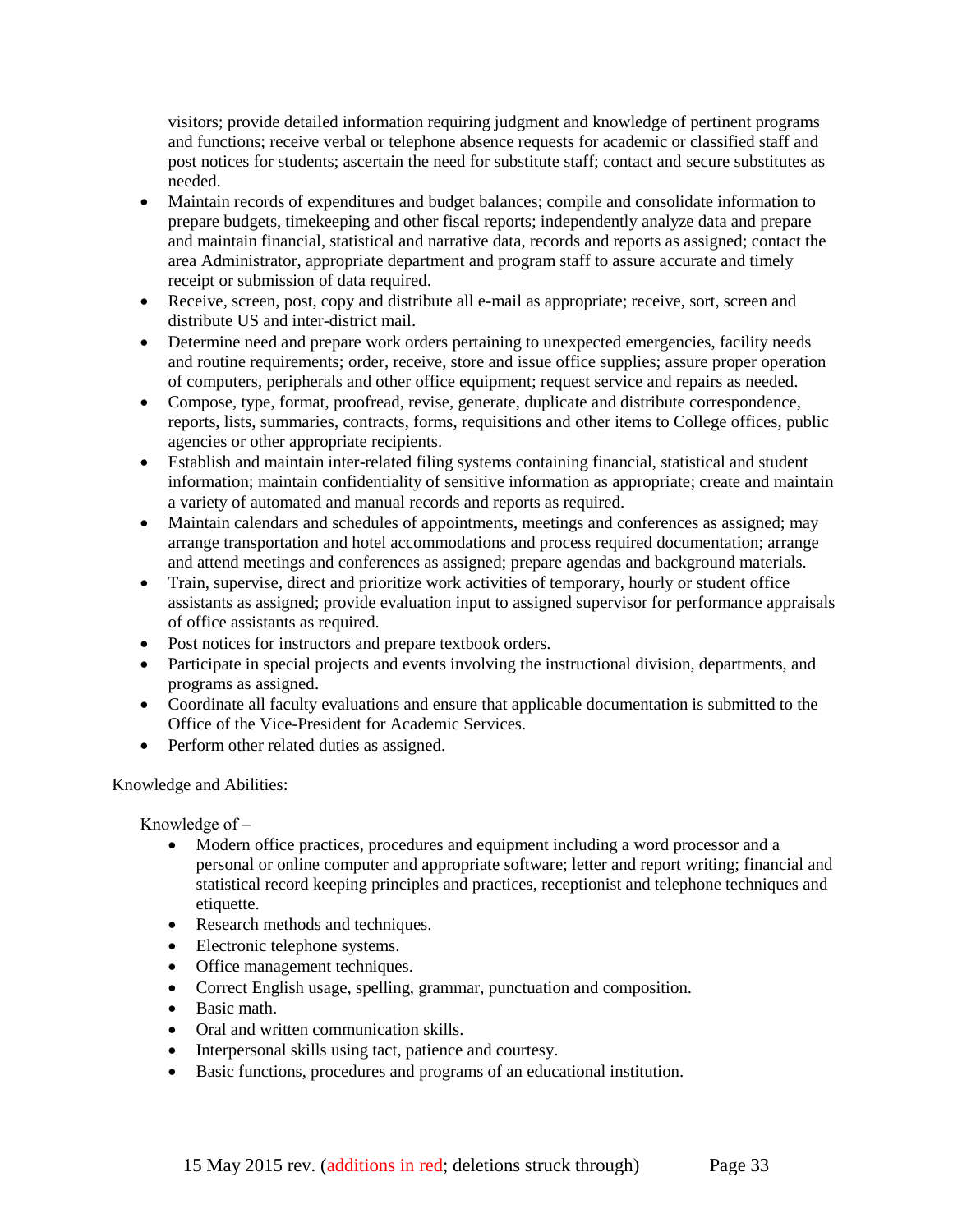visitors; provide detailed information requiring judgment and knowledge of pertinent programs and functions; receive verbal or telephone absence requests for academic or classified staff and post notices for students; ascertain the need for substitute staff; contact and secure substitutes as needed.

- Maintain records of expenditures and budget balances; compile and consolidate information to prepare budgets, timekeeping and other fiscal reports; independently analyze data and prepare and maintain financial, statistical and narrative data, records and reports as assigned; contact the area Administrator, appropriate department and program staff to assure accurate and timely receipt or submission of data required.
- Receive, screen, post, copy and distribute all e-mail as appropriate; receive, sort, screen and distribute US and inter-district mail.
- Determine need and prepare work orders pertaining to unexpected emergencies, facility needs and routine requirements; order, receive, store and issue office supplies; assure proper operation of computers, peripherals and other office equipment; request service and repairs as needed.
- Compose, type, format, proofread, revise, generate, duplicate and distribute correspondence, reports, lists, summaries, contracts, forms, requisitions and other items to College offices, public agencies or other appropriate recipients.
- Establish and maintain inter-related filing systems containing financial, statistical and student information; maintain confidentiality of sensitive information as appropriate; create and maintain a variety of automated and manual records and reports as required.
- Maintain calendars and schedules of appointments, meetings and conferences as assigned; may arrange transportation and hotel accommodations and process required documentation; arrange and attend meetings and conferences as assigned; prepare agendas and background materials.
- Train, supervise, direct and prioritize work activities of temporary, hourly or student office assistants as assigned; provide evaluation input to assigned supervisor for performance appraisals of office assistants as required.
- Post notices for instructors and prepare textbook orders.
- Participate in special projects and events involving the instructional division, departments, and programs as assigned.
- Coordinate all faculty evaluations and ensure that applicable documentation is submitted to the Office of the Vice-President for Academic Services.
- Perform other related duties as assigned.

### Knowledge and Abilities:

Knowledge of  $-$ 

- Modern office practices, procedures and equipment including a word processor and a personal or online computer and appropriate software; letter and report writing; financial and statistical record keeping principles and practices, receptionist and telephone techniques and etiquette.
- Research methods and techniques.
- Electronic telephone systems.
- Office management techniques.
- Correct English usage, spelling, grammar, punctuation and composition.
- Basic math
- Oral and written communication skills.
- Interpersonal skills using tact, patience and courtesy.
- Basic functions, procedures and programs of an educational institution.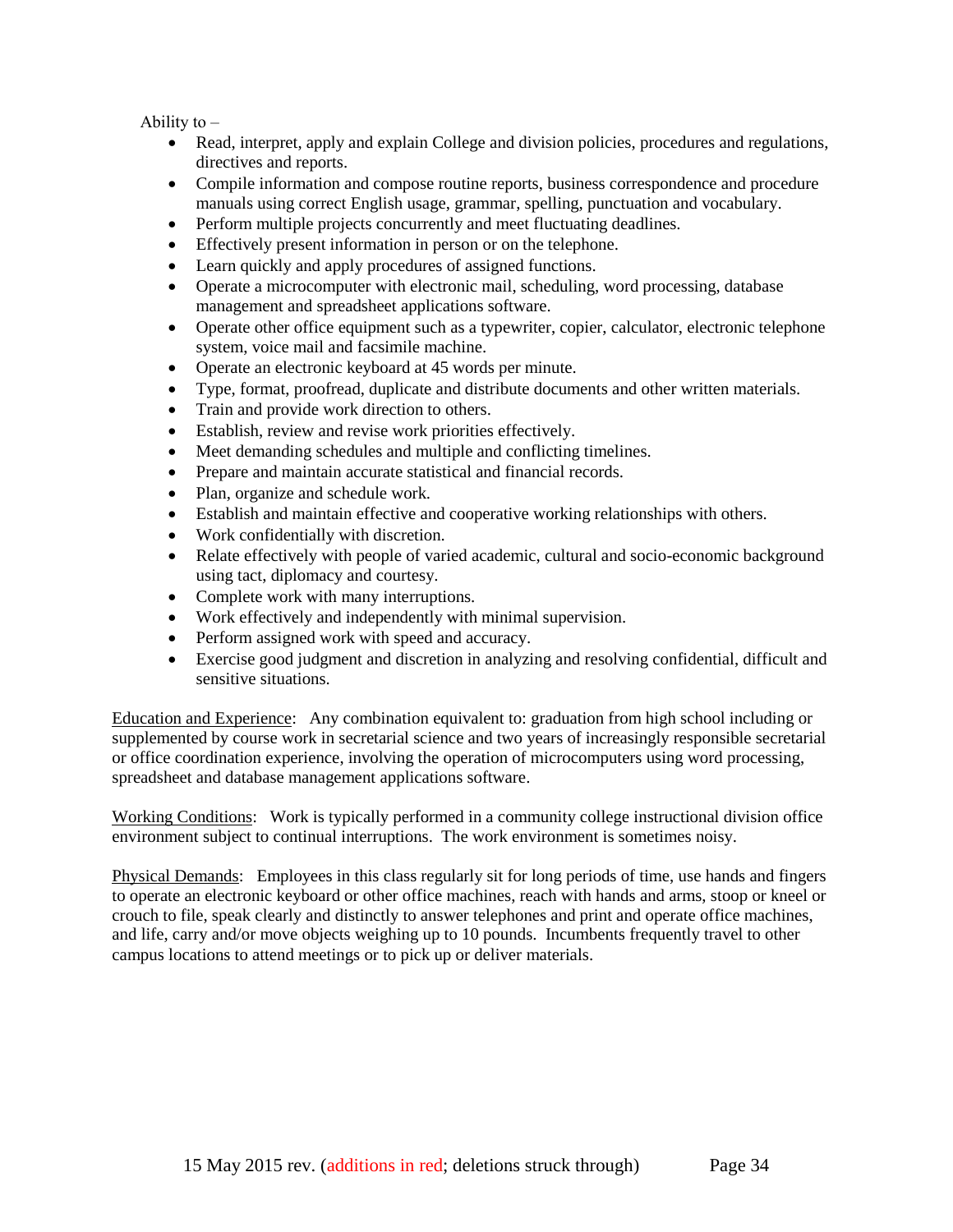Ability to  $-$ 

- Read, interpret, apply and explain College and division policies, procedures and regulations, directives and reports.
- Compile information and compose routine reports, business correspondence and procedure manuals using correct English usage, grammar, spelling, punctuation and vocabulary.
- Perform multiple projects concurrently and meet fluctuating deadlines.
- Effectively present information in person or on the telephone.
- Learn quickly and apply procedures of assigned functions.
- Operate a microcomputer with electronic mail, scheduling, word processing, database management and spreadsheet applications software.
- Operate other office equipment such as a typewriter, copier, calculator, electronic telephone system, voice mail and facsimile machine.
- Operate an electronic keyboard at 45 words per minute.
- Type, format, proofread, duplicate and distribute documents and other written materials.
- Train and provide work direction to others.
- Establish, review and revise work priorities effectively.
- Meet demanding schedules and multiple and conflicting timelines.
- Prepare and maintain accurate statistical and financial records.
- Plan, organize and schedule work.
- Establish and maintain effective and cooperative working relationships with others.
- Work confidentially with discretion.
- Relate effectively with people of varied academic, cultural and socio-economic background using tact, diplomacy and courtesy.
- Complete work with many interruptions.
- Work effectively and independently with minimal supervision.
- Perform assigned work with speed and accuracy.
- Exercise good judgment and discretion in analyzing and resolving confidential, difficult and sensitive situations.

Education and Experience: Any combination equivalent to: graduation from high school including or supplemented by course work in secretarial science and two years of increasingly responsible secretarial or office coordination experience, involving the operation of microcomputers using word processing, spreadsheet and database management applications software.

Working Conditions: Work is typically performed in a community college instructional division office environment subject to continual interruptions. The work environment is sometimes noisy.

Physical Demands: Employees in this class regularly sit for long periods of time, use hands and fingers to operate an electronic keyboard or other office machines, reach with hands and arms, stoop or kneel or crouch to file, speak clearly and distinctly to answer telephones and print and operate office machines, and life, carry and/or move objects weighing up to 10 pounds. Incumbents frequently travel to other campus locations to attend meetings or to pick up or deliver materials.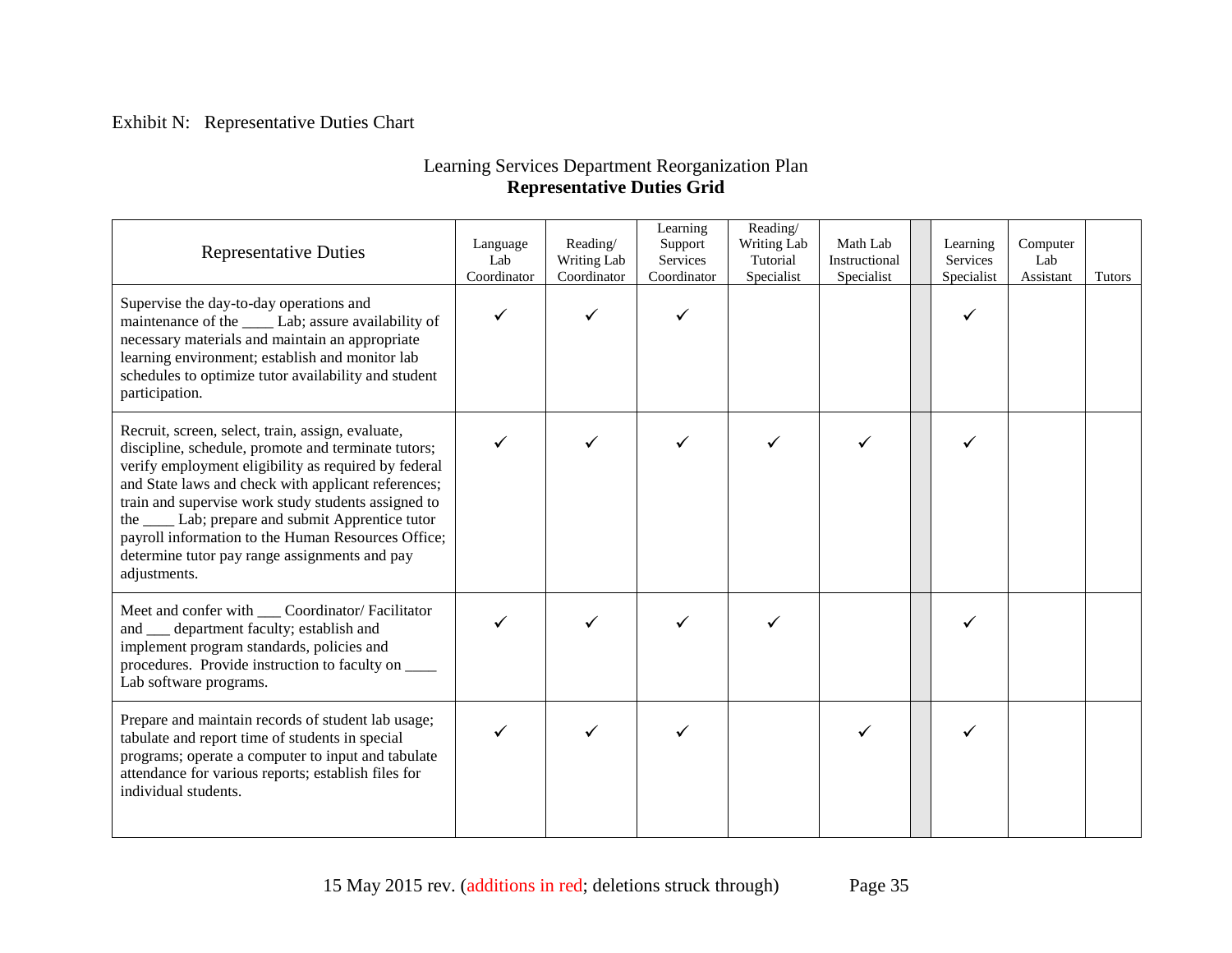# Exhibit N: Representative Duties Chart

# Learning Services Department Reorganization Plan **Representative Duties Grid**

| <b>Representative Duties</b>                                                                                                                                                                                                                                                                                                                                                                                                                                 | Language<br>Lab<br>Coordinator | Reading/<br>Writing Lab<br>Coordinator | Learning<br>Support<br>Services<br>Coordinator | Reading/<br>Writing Lab<br>Tutorial<br>Specialist | Math Lab<br>Instructional<br>Specialist | Learning<br>Services<br>Specialist | Computer<br>Lab<br>Assistant | Tutors |
|--------------------------------------------------------------------------------------------------------------------------------------------------------------------------------------------------------------------------------------------------------------------------------------------------------------------------------------------------------------------------------------------------------------------------------------------------------------|--------------------------------|----------------------------------------|------------------------------------------------|---------------------------------------------------|-----------------------------------------|------------------------------------|------------------------------|--------|
| Supervise the day-to-day operations and<br>maintenance of the ______ Lab; assure availability of<br>necessary materials and maintain an appropriate<br>learning environment; establish and monitor lab<br>schedules to optimize tutor availability and student<br>participation.                                                                                                                                                                             | ✓                              |                                        |                                                |                                                   |                                         |                                    |                              |        |
| Recruit, screen, select, train, assign, evaluate,<br>discipline, schedule, promote and terminate tutors;<br>verify employment eligibility as required by federal<br>and State laws and check with applicant references;<br>train and supervise work study students assigned to<br>the ______ Lab; prepare and submit Apprentice tutor<br>payroll information to the Human Resources Office;<br>determine tutor pay range assignments and pay<br>adjustments. | $\checkmark$                   |                                        |                                                |                                                   | ✓                                       |                                    |                              |        |
| Meet and confer with ____ Coordinator/ Facilitator<br>and __ department faculty; establish and<br>implement program standards, policies and<br>procedures. Provide instruction to faculty on _____<br>Lab software programs.                                                                                                                                                                                                                                 |                                |                                        |                                                |                                                   |                                         |                                    |                              |        |
| Prepare and maintain records of student lab usage;<br>tabulate and report time of students in special<br>programs; operate a computer to input and tabulate<br>attendance for various reports; establish files for<br>individual students.                                                                                                                                                                                                                   |                                |                                        |                                                |                                                   |                                         |                                    |                              |        |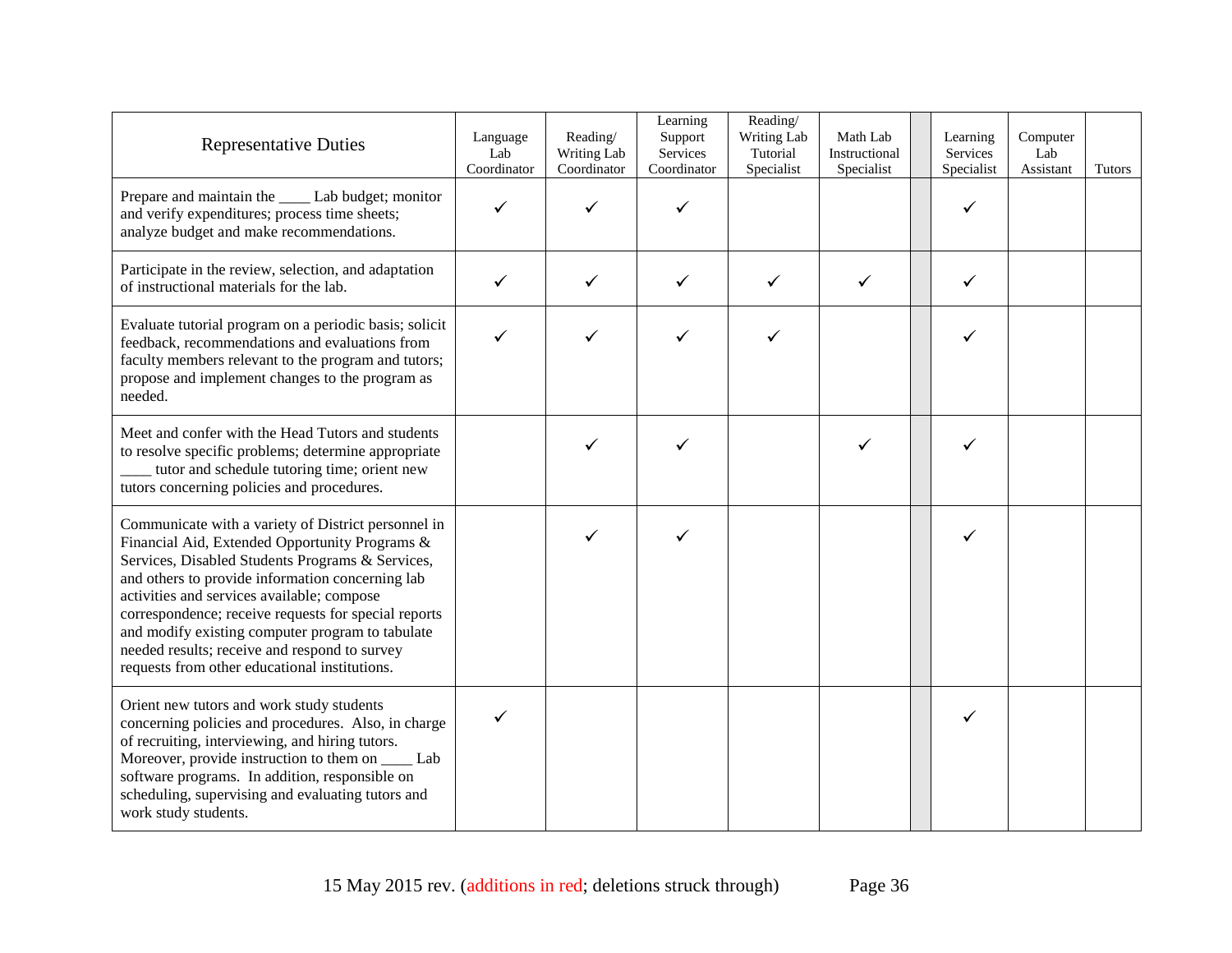| <b>Representative Duties</b>                                                                                                                                                                                                                                                                                                                                                                                                                                              | Language<br>Lab<br>Coordinator | Reading/<br>Writing Lab<br>Coordinator | Learning<br>Support<br>Services<br>Coordinator | Reading/<br>Writing Lab<br>Tutorial<br>Specialist | Math Lab<br>Instructional<br>Specialist | Learning<br>Services<br>Specialist | Computer<br>Lab<br>Assistant | <b>Tutors</b> |
|---------------------------------------------------------------------------------------------------------------------------------------------------------------------------------------------------------------------------------------------------------------------------------------------------------------------------------------------------------------------------------------------------------------------------------------------------------------------------|--------------------------------|----------------------------------------|------------------------------------------------|---------------------------------------------------|-----------------------------------------|------------------------------------|------------------------------|---------------|
| Prepare and maintain the _____ Lab budget; monitor<br>and verify expenditures; process time sheets;<br>analyze budget and make recommendations.                                                                                                                                                                                                                                                                                                                           | ✓                              |                                        |                                                |                                                   |                                         | ✓                                  |                              |               |
| Participate in the review, selection, and adaptation<br>of instructional materials for the lab.                                                                                                                                                                                                                                                                                                                                                                           | ✓                              | ✓                                      |                                                |                                                   | ✓                                       | ✓                                  |                              |               |
| Evaluate tutorial program on a periodic basis; solicit<br>feedback, recommendations and evaluations from<br>faculty members relevant to the program and tutors;<br>propose and implement changes to the program as<br>needed.                                                                                                                                                                                                                                             | ✓                              | ✓                                      |                                                |                                                   |                                         |                                    |                              |               |
| Meet and confer with the Head Tutors and students<br>to resolve specific problems; determine appropriate<br>tutor and schedule tutoring time; orient new<br>tutors concerning policies and procedures.                                                                                                                                                                                                                                                                    |                                | ✓                                      |                                                |                                                   | ✓                                       |                                    |                              |               |
| Communicate with a variety of District personnel in<br>Financial Aid, Extended Opportunity Programs &<br>Services, Disabled Students Programs & Services,<br>and others to provide information concerning lab<br>activities and services available; compose<br>correspondence; receive requests for special reports<br>and modify existing computer program to tabulate<br>needed results; receive and respond to survey<br>requests from other educational institutions. |                                |                                        |                                                |                                                   |                                         |                                    |                              |               |
| Orient new tutors and work study students<br>concerning policies and procedures. Also, in charge<br>of recruiting, interviewing, and hiring tutors.<br>Moreover, provide instruction to them on _______ Lab<br>software programs. In addition, responsible on<br>scheduling, supervising and evaluating tutors and<br>work study students.                                                                                                                                | ✓                              |                                        |                                                |                                                   |                                         | ✓                                  |                              |               |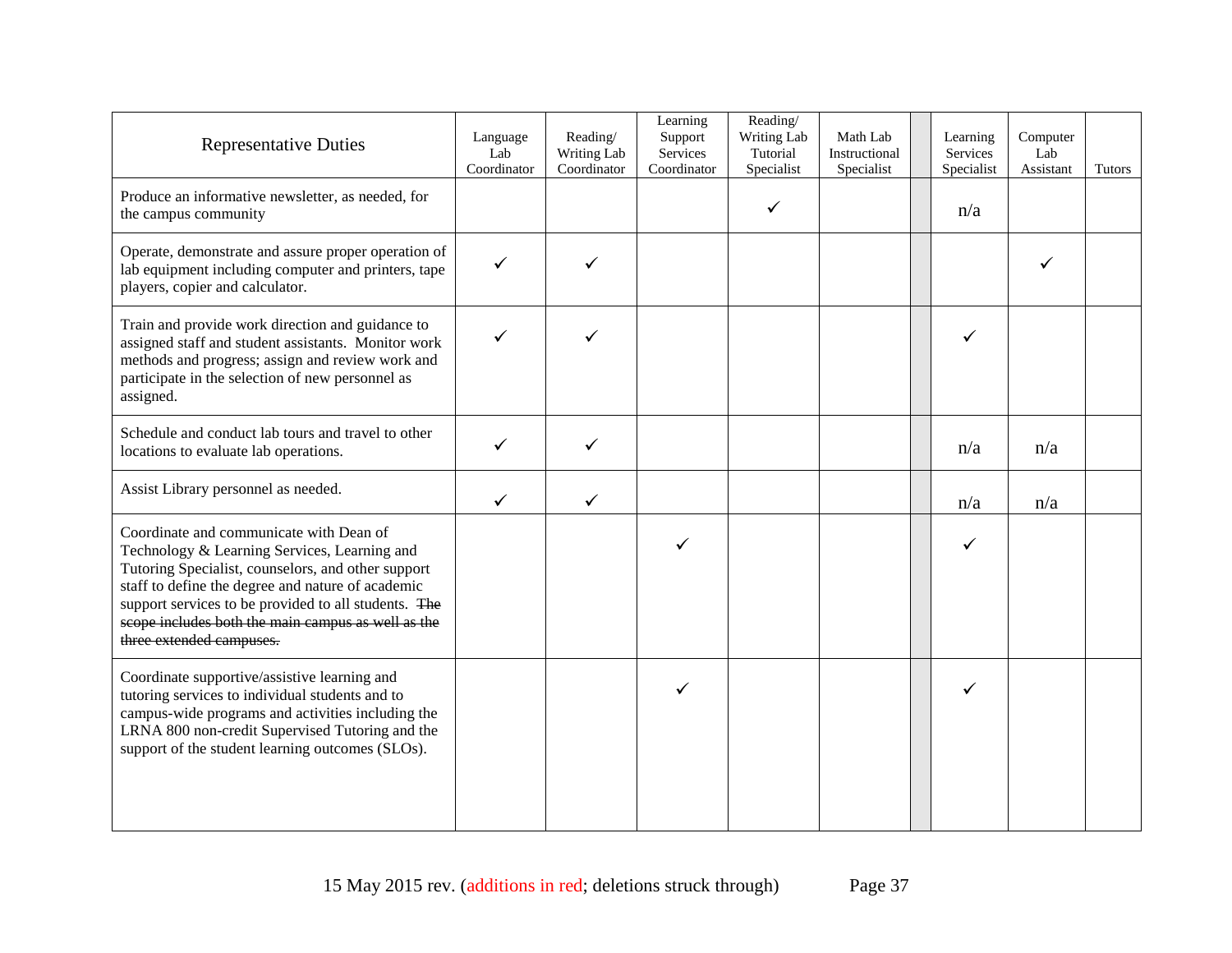| <b>Representative Duties</b>                                                                                                                                                                                                                                                                                                                 | Language<br>Lab<br>Coordinator | Reading/<br>Writing Lab<br>Coordinator | Learning<br>Support<br>Services<br>Coordinator | Reading/<br>Writing Lab<br>Tutorial<br>Specialist | Math Lab<br>Instructional<br>Specialist | Learning<br>Services<br>Specialist | Computer<br>Lab<br>Assistant | <b>Tutors</b> |
|----------------------------------------------------------------------------------------------------------------------------------------------------------------------------------------------------------------------------------------------------------------------------------------------------------------------------------------------|--------------------------------|----------------------------------------|------------------------------------------------|---------------------------------------------------|-----------------------------------------|------------------------------------|------------------------------|---------------|
| Produce an informative newsletter, as needed, for<br>the campus community                                                                                                                                                                                                                                                                    |                                |                                        |                                                | ✓                                                 |                                         | n/a                                |                              |               |
| Operate, demonstrate and assure proper operation of<br>lab equipment including computer and printers, tape<br>players, copier and calculator.                                                                                                                                                                                                | $\checkmark$                   |                                        |                                                |                                                   |                                         |                                    |                              |               |
| Train and provide work direction and guidance to<br>assigned staff and student assistants. Monitor work<br>methods and progress; assign and review work and<br>participate in the selection of new personnel as<br>assigned.                                                                                                                 | ✓                              |                                        |                                                |                                                   |                                         | ✓                                  |                              |               |
| Schedule and conduct lab tours and travel to other<br>locations to evaluate lab operations.                                                                                                                                                                                                                                                  | ✓                              | ✓                                      |                                                |                                                   |                                         | n/a                                | n/a                          |               |
| Assist Library personnel as needed.                                                                                                                                                                                                                                                                                                          | $\checkmark$                   | $\checkmark$                           |                                                |                                                   |                                         | n/a                                | n/a                          |               |
| Coordinate and communicate with Dean of<br>Technology & Learning Services, Learning and<br>Tutoring Specialist, counselors, and other support<br>staff to define the degree and nature of academic<br>support services to be provided to all students. The<br>scope includes both the main campus as well as the<br>three extended campuses. |                                |                                        | ✓                                              |                                                   |                                         |                                    |                              |               |
| Coordinate supportive/assistive learning and<br>tutoring services to individual students and to<br>campus-wide programs and activities including the<br>LRNA 800 non-credit Supervised Tutoring and the<br>support of the student learning outcomes (SLOs).                                                                                  |                                |                                        | $\checkmark$                                   |                                                   |                                         | ✓                                  |                              |               |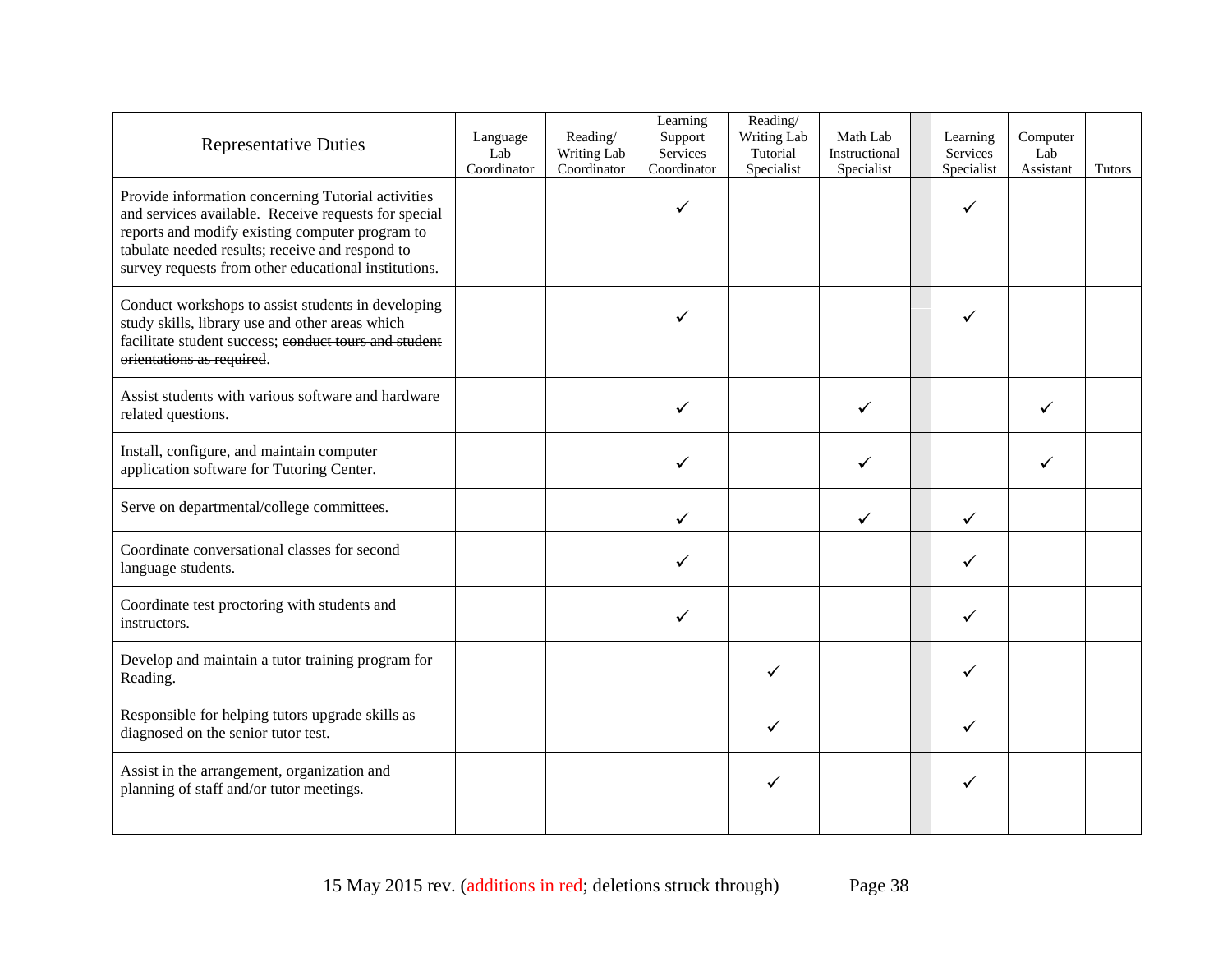| <b>Representative Duties</b>                                                                                                                                                                                                                                             | Language<br>Lab<br>Coordinator | Reading/<br>Writing Lab<br>Coordinator | Learning<br>Support<br>Services<br>Coordinator | Reading/<br>Writing Lab<br>Tutorial<br>Specialist | Math Lab<br>Instructional<br>Specialist | Learning<br>Services<br>Specialist | Computer<br>Lab<br>Assistant | <b>Tutors</b> |
|--------------------------------------------------------------------------------------------------------------------------------------------------------------------------------------------------------------------------------------------------------------------------|--------------------------------|----------------------------------------|------------------------------------------------|---------------------------------------------------|-----------------------------------------|------------------------------------|------------------------------|---------------|
| Provide information concerning Tutorial activities<br>and services available. Receive requests for special<br>reports and modify existing computer program to<br>tabulate needed results; receive and respond to<br>survey requests from other educational institutions. |                                |                                        | ✓                                              |                                                   |                                         | ✓                                  |                              |               |
| Conduct workshops to assist students in developing<br>study skills, library use and other areas which<br>facilitate student success; conduct tours and student<br>orientations as required.                                                                              |                                |                                        |                                                |                                                   |                                         |                                    |                              |               |
| Assist students with various software and hardware<br>related questions.                                                                                                                                                                                                 |                                |                                        |                                                |                                                   | ✓                                       |                                    |                              |               |
| Install, configure, and maintain computer<br>application software for Tutoring Center.                                                                                                                                                                                   |                                |                                        |                                                |                                                   | ✓                                       |                                    | ✓                            |               |
| Serve on departmental/college committees.                                                                                                                                                                                                                                |                                |                                        | ✓                                              |                                                   | ✓                                       | ✓                                  |                              |               |
| Coordinate conversational classes for second<br>language students.                                                                                                                                                                                                       |                                |                                        |                                                |                                                   |                                         | ✓                                  |                              |               |
| Coordinate test proctoring with students and<br>instructors.                                                                                                                                                                                                             |                                |                                        | ✓                                              |                                                   |                                         | ✓                                  |                              |               |
| Develop and maintain a tutor training program for<br>Reading.                                                                                                                                                                                                            |                                |                                        |                                                | ✓                                                 |                                         | ✓                                  |                              |               |
| Responsible for helping tutors upgrade skills as<br>diagnosed on the senior tutor test.                                                                                                                                                                                  |                                |                                        |                                                | ✓                                                 |                                         | ✓                                  |                              |               |
| Assist in the arrangement, organization and<br>planning of staff and/or tutor meetings.                                                                                                                                                                                  |                                |                                        |                                                | ✓                                                 |                                         |                                    |                              |               |